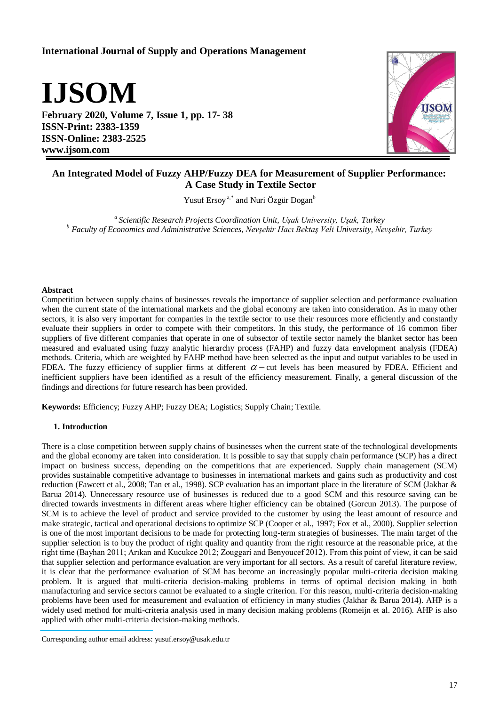# **International Journal of Supply and Operations Management**

**IJSOM**

**February 2020, Volume 7, Issue 1, pp. 17- 38 ISSN-Print: 2383-1359 ISSN-Online: 2383-2525 www.ijsom.com**



# **An Integrated Model of Fuzzy AHP/Fuzzy DEA for Measurement of Supplier Performance: A Case Study in Textile Sector**

Yusuf Ersoy<sup>a,\*</sup> and Nuri Özgür Dogan<sup>b</sup>

*<sup>a</sup>Scientific Research Projects Coordination Unit, Uşak University, Uşak, Turkey <sup>b</sup> Faculty of Economics and Administrative Sciences, Nevşehir Hacı Bektaş Veli University, Nevşehir, Turkey*

## **Abstract**

Competition between supply chains of businesses reveals the importance of supplier selection and performance evaluation when the current state of the international markets and the global economy are taken into consideration. As in many other sectors, it is also very important for companies in the textile sector to use their resources more efficiently and constantly evaluate their suppliers in order to compete with their competitors. In this study, the performance of 16 common fiber suppliers of five different companies that operate in one of subsector of textile sector namely the blanket sector has been measured and evaluated using fuzzy analytic hierarchy process (FAHP) and fuzzy data envelopment analysis (FDEA) methods. Criteria, which are weighted by FAHP method have been selected as the input and output variables to be used in FDEA. The fuzzy efficiency of supplier firms at different  $\alpha$  - cut levels has been measured by FDEA. Efficient and inefficient suppliers have been identified as a result of the efficiency measurement. Finally, a general discussion of the findings and directions for future research has been provided.

**Keywords:** Efficiency; Fuzzy AHP; Fuzzy DEA; Logistics; Supply Chain; Textile.

## **1. Introduction**

There is a close competition between supply chains of businesses when the current state of the technological developments and the global economy are taken into consideration. It is possible to say that supply chain performance (SCP) has a direct impact on business success, depending on the competitions that are experienced. Supply chain management (SCM) provides sustainable competitive advantage to businesses in international markets and gains such as productivity and cost reduction (Fawcett et al., 2008; Tan et al., 1998). SCP evaluation has an important place in the literature of SCM (Jakhar & Barua 2014). Unnecessary resource use of businesses is reduced due to a good SCM and this resource saving can be directed towards investments in different areas where higher efficiency can be obtained (Gorcun 2013). The purpose of SCM is to achieve the level of product and service provided to the customer by using the least amount of resource and make strategic, tactical and operational decisions to optimize SCP (Cooper et al., 1997; Fox et al., 2000). Supplier selection is one of the most important decisions to be made for protecting long-term strategies of businesses. The main target of the supplier selection is to buy the product of right quality and quantity from the right resource at the reasonable price, at the right time (Bayhan 2011; Arıkan and Kucukce 2012; Zouggari and Benyoucef 2012). From this point of view, it can be said that supplier selection and performance evaluation are very important for all sectors. As a result of careful literature review, it is clear that the performance evaluation of SCM has become an increasingly popular multi-criteria decision making problem. It is argued that multi-criteria decision-making problems in terms of optimal decision making in both manufacturing and service sectors cannot be evaluated to a single criterion. For this reason, multi-criteria decision-making problems have been used for measurement and evaluation of efficiency in many studies (Jakhar & Barua 2014). AHP is a widely used method for multi-criteria analysis used in many decision making problems (Romeijn et al. 2016). AHP is also applied with other multi-criteria decision-making methods.

Corresponding author email address: yusuf.ersoy@usak.edu.tr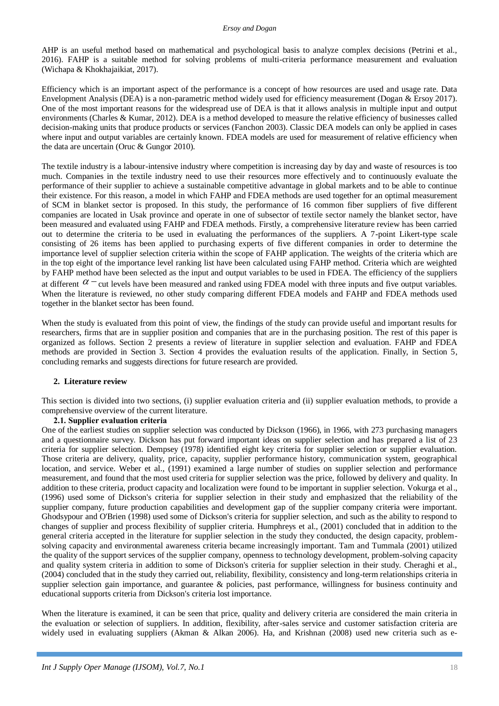AHP is an useful method based on mathematical and psychological basis to analyze complex decisions (Petrini et al., 2016). FAHP is a suitable method for solving problems of multi-criteria performance measurement and evaluation (Wichapa & Khokhajaikiat, 2017).

Efficiency which is an important aspect of the performance is a concept of how resources are used and usage rate. Data Envelopment Analysis (DEA) is a non-parametric method widely used for efficiency measurement (Dogan & Ersoy 2017). One of the most important reasons for the widespread use of DEA is that it allows analysis in multiple input and output environments (Charles & Kumar, 2012). DEA is a method developed to measure the relative efficiency of businesses called decision-making units that produce products or services (Fanchon 2003). Classic DEA models can only be applied in cases where input and output variables are certainly known. FDEA models are used for measurement of relative efficiency when the data are uncertain (Oruc & Gungor 2010).

The textile industry is a labour-intensive industry where competition is increasing day by day and waste of resources is too much. Companies in the textile industry need to use their resources more effectively and to continuously evaluate the performance of their supplier to achieve a sustainable competitive advantage in global markets and to be able to continue their existence. For this reason, a model in which FAHP and FDEA methods are used together for an optimal measurement of SCM in blanket sector is proposed. In this study, the performance of 16 common fiber suppliers of five different companies are located in Usak province and operate in one of subsector of textile sector namely the blanket sector, have been measured and evaluated using FAHP and FDEA methods. Firstly, a comprehensive literature review has been carried out to determine the criteria to be used in evaluating the performances of the suppliers. A 7-point Likert-type scale consisting of 26 items has been applied to purchasing experts of five different companies in order to determine the importance level of supplier selection criteria within the scope of FAHP application. The weights of the criteria which are in the top eight of the importance level ranking list have been calculated using FAHP method. Criteria which are weighted by FAHP method have been selected as the input and output variables to be used in FDEA. The efficiency of the suppliers at different  $\alpha$  – cut levels have been measured and ranked using FDEA model with three inputs and five output variables. When the literature is reviewed, no other study comparing different FDEA models and FAHP and FDEA methods used together in the blanket sector has been found.

When the study is evaluated from this point of view, the findings of the study can provide useful and important results for researchers, firms that are in supplier position and companies that are in the purchasing position. The rest of this paper is organized as follows. Section 2 presents a review of literature in supplier selection and evaluation. FAHP and FDEA methods are provided in Section 3. Section 4 provides the evaluation results of the application. Finally, in Section 5, concluding remarks and suggests directions for future research are provided.

# **2. Literature review**

This section is divided into two sections, (i) supplier evaluation criteria and (ii) supplier evaluation methods, to provide a comprehensive overview of the current literature.

# **2.1. Supplier evaluation criteria**

One of the earliest studies on supplier selection was conducted by Dickson (1966), in 1966, with 273 purchasing managers and a questionnaire survey. Dickson has put forward important ideas on supplier selection and has prepared a list of 23 criteria for supplier selection. Dempsey (1978) identified eight key criteria for supplier selection or supplier evaluation. Those criteria are delivery, quality, price, capacity, supplier performance history, communication system, geographical location, and service. Weber et al., (1991) examined a large number of studies on supplier selection and performance measurement, and found that the most used criteria for supplier selection was the price, followed by delivery and quality. In addition to these criteria, product capacity and localization were found to be important in supplier selection. Vokurga et al., (1996) used some of Dickson's criteria for supplier selection in their study and emphasized that the reliability of the supplier company, future production capabilities and development gap of the supplier company criteria were important. Ghodsypour and O'Brien (1998) used some of Dickson's criteria for supplier selection, and such as the ability to respond to changes of supplier and process flexibility of supplier criteria. Humphreys et al., (2001) concluded that in addition to the general criteria accepted in the literature for supplier selection in the study they conducted, the design capacity, problemsolving capacity and environmental awareness criteria became increasingly important. Tam and Tummala (2001) utilized the quality of the support services of the supplier company, openness to technology development, problem-solving capacity and quality system criteria in addition to some of Dickson's criteria for supplier selection in their study. Cheraghi et al., (2004) concluded that in the study they carried out, reliability, flexibility, consistency and long-term relationships criteria in supplier selection gain importance, and guarantee & policies, past performance, willingness for business continuity and educational supports criteria from Dickson's criteria lost importance.

When the literature is examined, it can be seen that price, quality and delivery criteria are considered the main criteria in the evaluation or selection of suppliers. In addition, flexibility, after-sales service and customer satisfaction criteria are widely used in evaluating suppliers (Akman & Alkan 2006). Ha, and Krishnan (2008) used new criteria such as e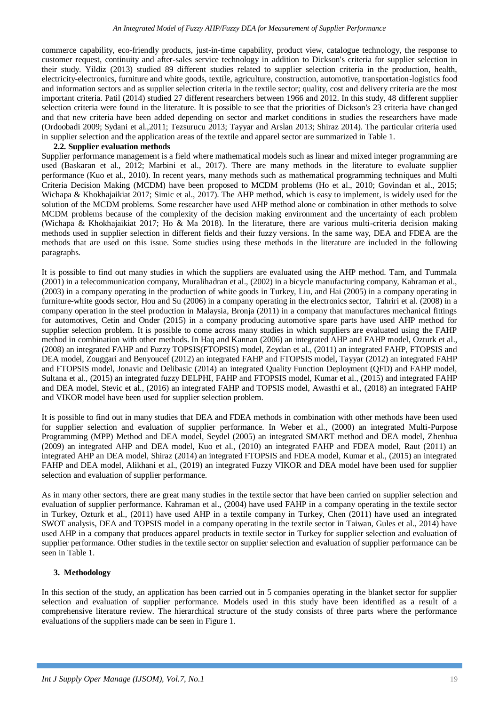commerce capability, eco-friendly products, just-in-time capability, product view, catalogue technology, the response to customer request, continuity and after-sales service technology in addition to Dickson's criteria for supplier selection in their study. Yildiz (2013) studied 89 different studies related to supplier selection criteria in the production, health, electricity-electronics, furniture and white goods, textile, agriculture, construction, automotive, transportation-logistics food and information sectors and as supplier selection criteria in the textile sector; quality, cost and delivery criteria are the most important criteria. Patil (2014) studied 27 different researchers between 1966 and 2012. In this study, 48 different supplier selection criteria were found in the literature. It is possible to see that the priorities of Dickson's 23 criteria have changed and that new criteria have been added depending on sector and market conditions in studies the researchers have made (Ordoobadi 2009; Sydani et al.,2011; Tezsurucu 2013; Tayyar and Arslan 2013; Shiraz 2014). The particular criteria used in supplier selection and the application areas of the textile and apparel sector are summarized in Table 1.

### **2.2. Supplier evaluation methods**

Supplier performance management is a field where mathematical models such as linear and mixed integer programming are used (Baskaran et al., 2012; Marbini et al., 2017). There are many methods in the literature to evaluate supplier performance (Kuo et al., 2010). In recent years, many methods such as mathematical programming techniques and Multi Criteria Decision Making (MCDM) have been proposed to MCDM problems (Ho et al., 2010; Govindan et al., 2015; Wichapa & Khokhajaikiat 2017; Simic et al., 2017). The AHP method, which is easy to implement, is widely used for the solution of the MCDM problems. Some researcher have used AHP method alone or combination in other methods to solve MCDM problems because of the complexity of the decision making environment and the uncertainty of each problem (Wichapa & Khokhajaikiat 2017; Ho & Ma 2018). In the literature, there are various multi-criteria decision making methods used in supplier selection in different fields and their fuzzy versions. In the same way, DEA and FDEA are the methods that are used on this issue. Some studies using these methods in the literature are included in the following paragraphs.

It is possible to find out many studies in which the suppliers are evaluated using the AHP method. Tam, and Tummala (2001) in a telecommunication company, Muralihadran et al., (2002) in a bicycle manufacturing company, Kahraman et al., (2003) in a company operating in the production of white goods in Turkey, Liu, and Hai (2005) in a company operating in furniture-white goods sector, Hou and Su (2006) in a company operating in the electronics sector, Tahriri et al. (2008) in a company operation in the steel production in Malaysia, Bronja (2011) in a company that manufactures mechanical fittings for automotives, Cetin and Onder (2015) in a company producing automotive spare parts have used AHP method for supplier selection problem. It is possible to come across many studies in which suppliers are evaluated using the FAHP method in combination with other methods. In Haq and Kannan (2006) an integrated AHP and FAHP model, Ozturk et al., (2008) an integrated FAHP and Fuzzy TOPSIS(FTOPSIS) model, Zeydan et al., (2011) an integrated FAHP, FTOPSIS and DEA model, Zouggari and Benyoucef (2012) an integrated FAHP and FTOPSIS model, Tayyar (2012) an integrated FAHP and FTOPSIS model, Jonavic and Delibasic (2014) an integrated Quality Function Deployment (QFD) and FAHP model, Sultana et al., (2015) an integrated fuzzy DELPHI, FAHP and FTOPSIS model, Kumar et al., (2015) and integrated FAHP and DEA model, Stevic et al., (2016) an integrated FAHP and TOPSIS model, Awasthi et al., (2018) an integrated FAHP and VIKOR model have been used for supplier selection problem.

It is possible to find out in many studies that DEA and FDEA methods in combination with other methods have been used for supplier selection and evaluation of supplier performance. In Weber et al., (2000) an integrated Multi-Purpose Programming (MPP) Method and DEA model, Seydel (2005) an integrated SMART method and DEA model, Zhenhua (2009) an integrated AHP and DEA model, Kuo et al., (2010) an integrated FAHP and FDEA model, Raut (2011) an integrated AHP an DEA model, Shiraz (2014) an integrated FTOPSIS and FDEA model, Kumar et al., (2015) an integrated FAHP and DEA model, Alikhani et al., (2019) an integrated Fuzzy VIKOR and DEA model have been used for supplier selection and evaluation of supplier performance.

As in many other sectors, there are great many studies in the textile sector that have been carried on supplier selection and evaluation of supplier performance. Kahraman et al., (2004) have used FAHP in a company operating in the textile sector in Turkey, Ozturk et al., (2011) have used AHP in a textile company in Turkey, Chen (2011) have used an integrated SWOT analysis, DEA and TOPSIS model in a company operating in the textile sector in Taiwan, Gules et al., 2014) have used AHP in a company that produces apparel products in textile sector in Turkey for supplier selection and evaluation of supplier performance. Other studies in the textile sector on supplier selection and evaluation of supplier performance can be seen in Table 1.

# **3. Methodology**

In this section of the study, an application has been carried out in 5 companies operating in the blanket sector for supplier selection and evaluation of supplier performance. Models used in this study have been identified as a result of a comprehensive literature review. The hierarchical structure of the study consists of three parts where the performance evaluations of the suppliers made can be seen in Figure 1.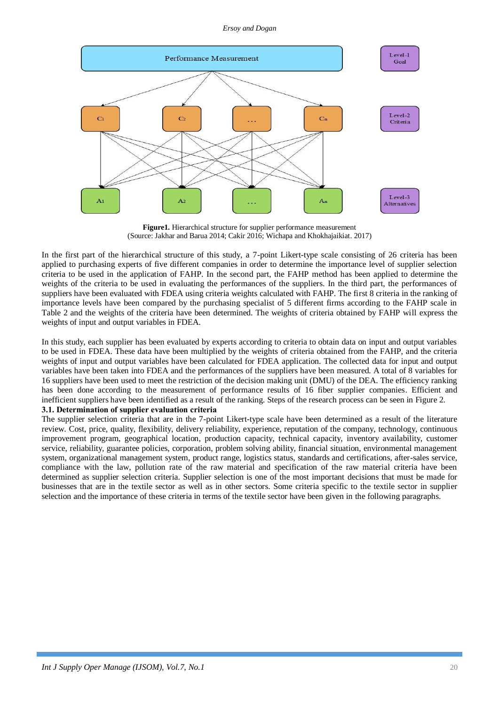

**Figure1.** Hierarchical structure for supplier performance measurement (Source: Jakhar and Barua 2014; Cakir 2016; Wichapa and Khokhajaikiat. 2017)

In the first part of the hierarchical structure of this study, a 7-point Likert-type scale consisting of 26 criteria has been applied to purchasing experts of five different companies in order to determine the importance level of supplier selection criteria to be used in the application of FAHP. In the second part, the FAHP method has been applied to determine the weights of the criteria to be used in evaluating the performances of the suppliers. In the third part, the performances of suppliers have been evaluated with FDEA using criteria weights calculated with FAHP. The first 8 criteria in the ranking of importance levels have been compared by the purchasing specialist of 5 different firms according to the FAHP scale in Table 2 and the weights of the criteria have been determined. The weights of criteria obtained by FAHP will express the weights of input and output variables in FDEA.

In this study, each supplier has been evaluated by experts according to criteria to obtain data on input and output variables to be used in FDEA. These data have been multiplied by the weights of criteria obtained from the FAHP, and the criteria weights of input and output variables have been calculated for FDEA application. The collected data for input and output variables have been taken into FDEA and the performances of the suppliers have been measured. A total of 8 variables for 16 suppliers have been used to meet the restriction of the decision making unit (DMU) of the DEA. The efficiency ranking has been done according to the measurement of performance results of 16 fiber supplier companies. Efficient and inefficient suppliers have been identified as a result of the ranking. Steps of the research process can be seen in Figure 2.

# **3.1. Determination of supplier evaluation criteria**

The supplier selection criteria that are in the 7-point Likert-type scale have been determined as a result of the literature review. Cost, price, quality, flexibility, delivery reliability, experience, reputation of the company, technology, continuous improvement program, geographical location, production capacity, technical capacity, inventory availability, customer service, reliability, guarantee policies, corporation, problem solving ability, financial situation, environmental management system, organizational management system, product range, logistics status, standards and certifications, after-sales service, compliance with the law, pollution rate of the raw material and specification of the raw material criteria have been determined as supplier selection criteria. Supplier selection is one of the most important decisions that must be made for businesses that are in the textile sector as well as in other sectors. Some criteria specific to the textile sector in supplier selection and the importance of these criteria in terms of the textile sector have been given in the following paragraphs.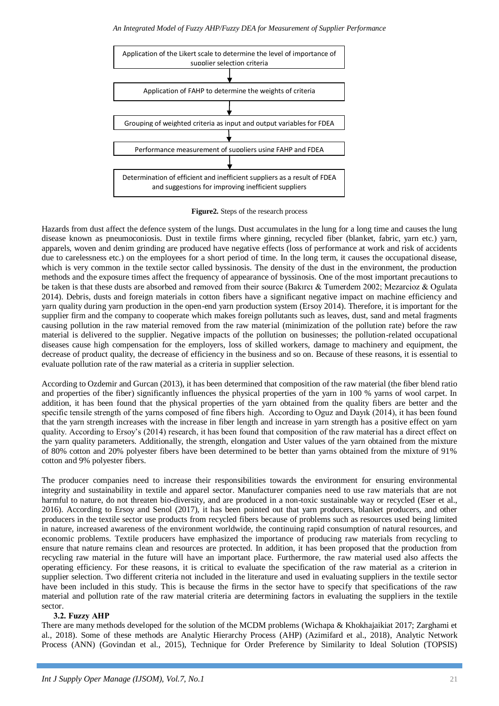

**Figure2.** Steps of the research process

Hazards from dust affect the defence system of the lungs. Dust accumulates in the lung for a long time and causes the lung disease known as pneumoconiosis. Dust in textile firms where ginning, recycled fiber (blanket, fabric, yarn etc.) yarn, apparels, woven and denim grinding are produced have negative effects (loss of performance at work and risk of accidents due to carelessness etc.) on the employees for a short period of time. In the long term, it causes the occupational disease, which is very common in the textile sector called byssinosis. The density of the dust in the environment, the production methods and the exposure times affect the frequency of appearance of byssinosis. One of the most important precautions to be taken is that these dusts are absorbed and removed from their source (Bakırcı & Tumerdem 2002; Mezarcioz & Ogulata 2014). Debris, dusts and foreign materials in cotton fibers have a significant negative impact on machine efficiency and yarn quality during yarn production in the open-end yarn production system (Ersoy 2014). Therefore, it is important for the supplier firm and the company to cooperate which makes foreign pollutants such as leaves, dust, sand and metal fragments causing pollution in the raw material removed from the raw material (minimization of the pollution rate) before the raw material is delivered to the supplier. Negative impacts of the pollution on businesses; the pollution-related occupational diseases cause high compensation for the employers, loss of skilled workers, damage to machinery and equipment, the decrease of product quality, the decrease of efficiency in the business and so on. Because of these reasons, it is essential to evaluate pollution rate of the raw material as a criteria in supplier selection.

According to Ozdemir and Gurcan (2013), it has been determined that composition of the raw material (the fiber blend ratio and properties of the fiber) significantly influences the physical properties of the yarn in 100 % yarns of wool carpet. In addition, it has been found that the physical properties of the yarn obtained from the quality fibers are better and the specific tensile strength of the yarns composed of fine fibers high. According to Oguz and Dayık (2014), it has been found that the yarn strength increases with the increase in fiber length and increase in yarn strength has a positive effect on yarn quality. According to Ersoy's (2014) research, it has been found that composition of the raw material has a direct effect on the yarn quality parameters. Additionally, the strength, elongation and Uster values of the yarn obtained from the mixture of 80% cotton and 20% polyester fibers have been determined to be better than yarns obtained from the mixture of 91% cotton and 9% polyester fibers.

The producer companies need to increase their responsibilities towards the environment for ensuring environmental integrity and sustainability in textile and apparel sector. Manufacturer companies need to use raw materials that are not harmful to nature, do not threaten bio-diversity, and are produced in a non-toxic sustainable way or recycled (Eser et al., 2016). According to Ersoy and Senol (2017), it has been pointed out that yarn producers, blanket producers, and other producers in the textile sector use products from recycled fibers because of problems such as resources used being limited in nature, increased awareness of the environment worldwide, the continuing rapid consumption of natural resources, and economic problems. Textile producers have emphasized the importance of producing raw materials from recycling to ensure that nature remains clean and resources are protected. In addition, it has been proposed that the production from recycling raw material in the future will have an important place. Furthermore, the raw material used also affects the operating efficiency. For these reasons, it is critical to evaluate the specification of the raw material as a criterion in supplier selection. Two different criteria not included in the literature and used in evaluating suppliers in the textile sector have been included in this study. This is because the firms in the sector have to specify that specifications of the raw material and pollution rate of the raw material criteria are determining factors in evaluating the suppliers in the textile sector.

# **3.2. Fuzzy AHP**

There are many methods developed for the solution of the MCDM problems (Wichapa & Khokhajaikiat 2017; Zarghami et al., 2018). Some of these methods are Analytic Hierarchy Process (AHP) (Azimifard et al., 2018), Analytic Network Process (ANN) (Govindan et al., 2015), Technique for Order Preference by Similarity to Ideal Solution (TOPSIS)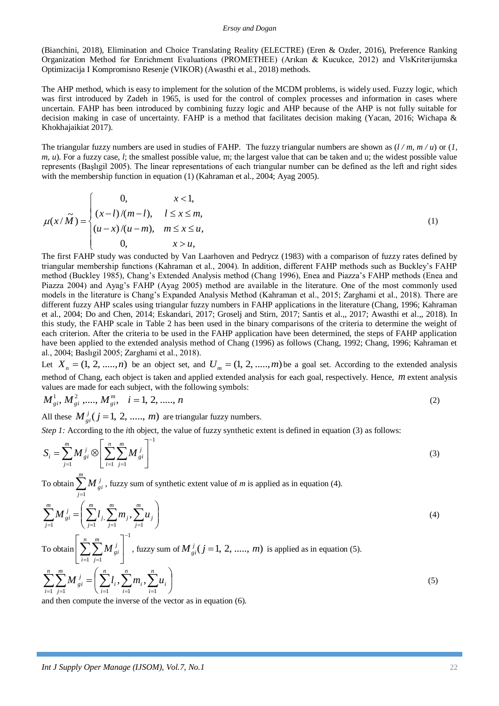(Bianchini, 2018), Elimination and Choice Translating Reality (ELECTRE) (Eren & Ozder, 2016), Preference Ranking Organization Method for Enrichment Evaluations (PROMETHEE) (Arıkan & Kucukce, 2012) and VlsKriterijumska Optimizacija I Kompromisno Resenje (VIKOR) (Awasthi et al., 2018) methods.

The AHP method, which is easy to implement for the solution of the MCDM problems, is widely used. Fuzzy logic, which was first introduced by Zadeh in 1965, is used for the control of complex processes and information in cases where uncertain. FAHP has been introduced by combining fuzzy logic and AHP because of the AHP is not fully suitable for decision making in case of uncertainty. FAHP is a method that facilitates decision making (Yacan, 2016; Wichapa & Khokhajaikiat 2017).

The triangular fuzzy numbers are used in studies of FAHP. The fuzzy triangular numbers are shown as (*l / m, m / u*) or (*1, m, u*). For a fuzzy case, *l*; the smallest possible value, m; the largest value that can be taken and u; the widest possible value represents (Başlıgil 2005). The linear representations of each triangular number can be defined as the left and right sides with the membership function in equation (1) (Kahraman et al., 2004; Ayag 2005).

$$
\mu(x/\tilde{M}) = \begin{cases}\n0, & x < 1, \\
(x-l)/(m-l), & l \le x \le m, \\
(u-x)/(u-m), & m \le x \le u, \\
0, & x > u,\n\end{cases}
$$
\n(1)

The first FAHP study was conducted by Van Laarhoven and Pedrycz (1983) with a comparison of fuzzy rates defined by triangular membership functions (Kahraman et al., 2004). In addition, different FAHP methods such as Buckley's FAHP method (Buckley 1985), Chang's Extended Analysis method (Chang 1996), Enea and Piazza's FAHP methods (Enea and Piazza 2004) and Ayag's FAHP (Ayag 2005) method are available in the literature. One of the most commonly used models in the literature is Chang's Expanded Analysis Method (Kahraman et al., 2015; Zarghami et al., 2018). There are different fuzzy AHP scales using triangular fuzzy numbers in FAHP applications in the literature (Chang, 1996; Kahraman et al., 2004; Do and Chen, 2014; Eskandari, 2017; Groselj and Stirn, 2017; Santis et al.,, 2017; Awasthi et al.,, 2018). In this study, the FAHP scale in Table 2 has been used in the binary comparisons of the criteria to determine the weight of each criterion. After the criteria to be used in the FAHP application have been determined, the steps of FAHP application have been applied to the extended analysis method of Chang (1996) as follows (Chang, 1992; Chang, 1996; Kahraman et al., 2004; Baslıgil 2005; Zarghami et al., 2018).

Let  $X_n = (1, 2, \ldots, n)$  be an object set, and  $U_m = (1, 2, \ldots, m)$  be a goal set. According to the extended analysis method of Chang, each object is taken and applied extended analysis for each goal, respectively. Hence, *m* extent analysis values are made for each subject, with the following symbols:

$$
M_{gi}^1, M_{gi}^2, \dots, M_{gi}^m, \quad i = 1, 2, \dots, n
$$
 (2)

All these  $M_{oi}^{j}$  ( $j = 1, 2, \dots, m$ )  $g_i^j$  ( $j = 1, 2, \dots, m$ ) are triangular fuzzy numbers.

*Step 1:* According to the *i*th object, the value of fuzzy synthetic extent is defined in equation (3) as follows:

$$
S_{i} = \sum_{j=1}^{m} M_{gi}^{j} \otimes \left[ \sum_{i=1}^{n} \sum_{j=1}^{m} M_{gi}^{j} \right]^{-1}
$$
(3)

To obtain  $\sum_{j=1}^{m}$ *j*  $M^{\,j}_{\,gi}$ 1 , fuzzy sum of synthetic extent value of *m* is applied as in equation (4).

$$
\sum_{j=1}^{m} M_{gi}^{j} = \left( \sum_{j=1}^{m} l_j \sum_{j=1}^{m} m_j \sum_{j=1}^{m} u_j \right)
$$
\n(4)

To obtain  $-1$   $j=1$  $=1$  j=  $\overline{\phantom{a}}$ 」  $\overline{\phantom{a}}$  $\mathbf{r}$ L  $\sum_{n=1}^{n} \sum_{n=1}^{m}$ *i m j*  $\overline{M}_{gi}^{j}$  | , fuzzy sum of  $\overline{M}_{gi}^{j}$  ( $j = 1, 2, ... , m$ )  $\frac{j}{gi}$  ( $j = 1, 2, \dots, m$ ) is applied as in equation (5).

$$
\sum_{i=1}^{n} \sum_{j=1}^{m} M_{gi}^{j} = \left( \sum_{i=1}^{n} l_i, \sum_{i=1}^{n} m_i, \sum_{i=1}^{n} u_i \right)
$$
\n(5)

and then compute the inverse of the vector as in equation (6).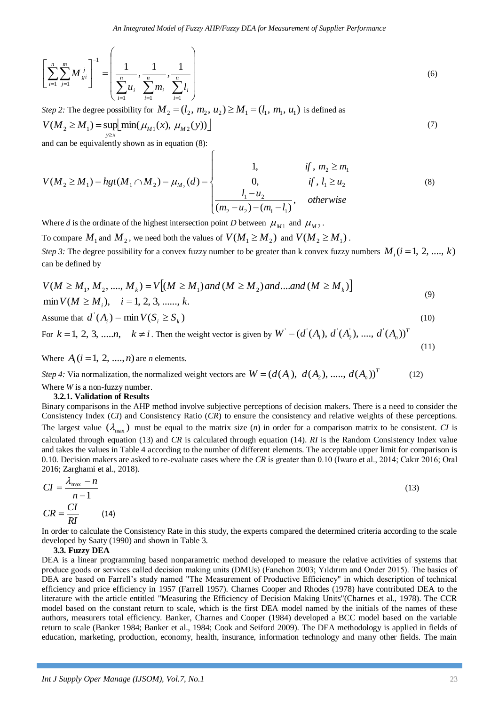$$
\left[\sum_{i=1}^{n} \sum_{j=1}^{m} M_{gi}^{j}\right]^{-1} = \left(\frac{1}{\sum_{i=1}^{n} u_{i}}, \frac{1}{\sum_{i=1}^{n} m_{i}}, \frac{1}{\sum_{i=1}^{n} l_{i}}\right)
$$
(6)

*Step 2:* The degree possibility for  $M_2 = (l_2, m_2, u_2) \ge M_1 = (l_1, m_1, u_1)$  is defined as

$$
V(M_2 \ge M_1) = \sup_{y \ge x} \left[ \min(\mu_{M_1}(x), \, \mu_{M_2}(y)) \right] \tag{7}
$$

and can be equivalently shown as in equation (8):

$$
V(M_2 \ge M_1) = hgt(M_1 \cap M_2) = \mu_{M_2}(d) = \begin{cases} 1, & \text{if } m_2 \ge m_1 \\ 0, & \text{if } l_1 \ge u_2 \\ \frac{l_1 - u_2}{(m_2 - u_2) - (m_1 - l_1)}, & \text{otherwise} \end{cases}
$$
(8)

Where *d* is the ordinate of the highest intersection point *D* between  $\mu_{M1}$  and  $\mu_{M2}$ .

To compare  $M_1$  and  $M_2$ , we need both the values of  $V(M_1 \ge M_2)$  and  $V(M_2 \ge M_1)$ . *Step 3:* The degree possibility for a convex fuzzy number to be greater than k convex fuzzy numbers  $M_i$  ( $i = 1, 2, ..., k$ ) can be defined by

$$
V(M \ge M_1, M_2, \dots, M_k) = V[(M \ge M_1) \text{ and } (M \ge M_2) \text{ and } \dots \text{ and } (M \ge M_k)]
$$
  
min  $V(M \ge M_i)$ ,  $i = 1, 2, 3, \dots, k$ . (9)

Assume that 
$$
d'(A_i) = \min V(S_i \ge S_k)
$$
 (10)

For  $k = 1, 2, 3, \dots, n, \quad k \neq i$ . Then the weight vector is given by  $W = (d^{(A_1)}, d^{(A_2)}, \dots, d^{(A_n)})^T$ (11)

Where  $A_i$  ( $i = 1, 2, ..., n$ ) are *n* elements.

*Step 4*: Via normalization, the normalized weight vectors are  $W = (d(A_1), d(A_2), \ldots, d(A_n))^T$  (12) Where *W* is a non-fuzzy number.

### **3.2.1. Validation of Results**

Binary comparisons in the AHP method involve subjective perceptions of decision makers. There is a need to consider the Consistency Index (*CI*) and Consistency Ratio (*CR*) to ensure the consistency and relative weights of these perceptions. The largest value  $(\lambda_{\text{max}})$  must be equal to the matrix size  $(n)$  in order for a comparison matrix to be consistent. *CI* is calculated through equation (13) and *CR* is calculated through equation (14). *RI* is the Random Consistency Index value and takes the values in Table 4 according to the number of different elements. The acceptable upper limit for comparison is 0.10. Decision makers are asked to re-evaluate cases where the *CR* is greater than 0.10 (Iwaro et al., 2014; Cakır 2016; Oral 2016; Zarghami et al., 2018).

$$
CI = \frac{\lambda_{\text{max}} - n}{n - 1}
$$
\n
$$
CR = \frac{CI}{RI}
$$
\n(14)

In order to calculate the Consistency Rate in this study, the experts compared the determined criteria according to the scale developed by Saaty (1990) and shown in Table 3.

#### **3.3. Fuzzy DEA**

DEA is a linear programming based nonparametric method developed to measure the relative activities of systems that produce goods or services called decision making units (DMUs) (Fanchon 2003; Yıldırım and Onder 2015). The basics of DEA are based on Farrell's study named "The Measurement of Productive Efficiency" in which description of technical efficiency and price efficiency in 1957 (Farrell 1957). Charnes Cooper and Rhodes (1978) have contributed DEA to the literature with the article entitled "Measuring the Efficiency of Decision Making Units"(Charnes et al., 1978). The CCR model based on the constant return to scale, which is the first DEA model named by the initials of the names of these authors, measurers total efficiency. Banker, Charnes and Cooper (1984) developed a BCC model based on the variable return to scale (Banker 1984; Banker et al., 1984; Cook and Seiford 2009). The DEA methodology is applied in fields of education, marketing, production, economy, health, insurance, information technology and many other fields. The main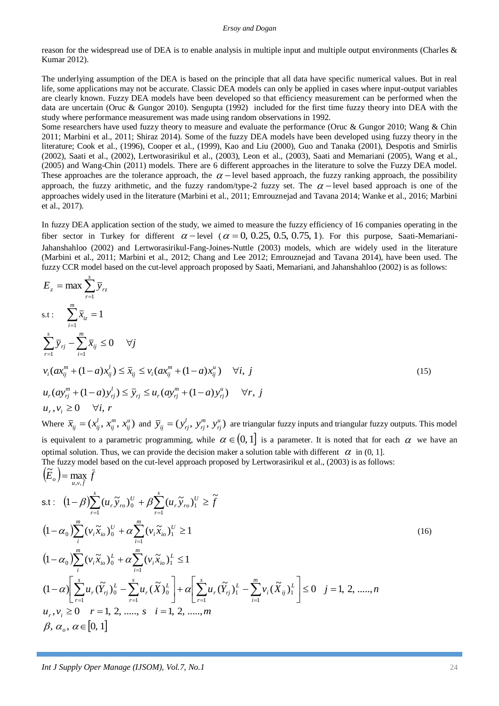reason for the widespread use of DEA is to enable analysis in multiple input and multiple output environments (Charles & Kumar 2012).

The underlying assumption of the DEA is based on the principle that all data have specific numerical values. But in real life, some applications may not be accurate. Classic DEA models can only be applied in cases where input-output variables are clearly known. Fuzzy DEA models have been developed so that efficiency measurement can be performed when the data are uncertain (Oruc & Gungor 2010). Sengupta (1992) included for the first time fuzzy theory into DEA with the study where performance measurement was made using random observations in 1992.

Some researchers have used fuzzy theory to measure and evaluate the performance (Oruc & Gungor 2010; Wang & Chin 2011; Marbini et al., 2011; Shiraz 2014). Some of the fuzzy DEA models have been developed using fuzzy theory in the literature; Cook et al., (1996), Cooper et al., (1999), Kao and Liu (2000), Guo and Tanaka (2001), Despotis and Smirlis (2002), Saati et al., (2002), Lertworasirikul et al., (2003), Leon et al., (2003), Saati and Memariani (2005), Wang et al., (2005) and Wang-Chin (2011) models. There are 6 different approaches in the literature to solve the Fuzzy DEA model. These approaches are the tolerance approach, the  $\alpha$  – level based approach, the fuzzy ranking approach, the possibility approach, the fuzzy arithmetic, and the fuzzy random/type-2 fuzzy set. The  $\alpha$  -level based approach is one of the approaches widely used in the literature (Marbini et al., 2011; Emrouznejad and Tavana 2014; Wanke et al., 2016; Marbini et al., 2017).

In fuzzy DEA application section of the study, we aimed to measure the fuzzy efficiency of 16 companies operating in the fiber sector in Turkey for different  $\alpha$  - level ( $\alpha$  = 0, 0.25, 0.5, 0.75, 1). For this purpose, Saati-Memariani-Jahanshahloo (2002) and Lertworasirikul-Fang-Joines-Nuttle (2003) models, which are widely used in the literature (Marbini et al., 2011; Marbini et al., 2012; Chang and Lee 2012; Emrouznejad and Tavana 2014), have been used. The fuzzy CCR model based on the cut-level approach proposed by Saati, Memariani, and Jahanshahloo (2002) is as follows:

$$
E_z = \max \sum_{i=1}^{s} \overline{y}_{rz}
$$
  
s.t: 
$$
\sum_{i=1}^{m} \overline{x}_{iz} = 1
$$
  

$$
\sum_{i=1}^{s} \overline{y}_{rj} - \sum_{i=1}^{m} \overline{x}_{ij} \le 0 \quad \forall j
$$
  

$$
v_i (ax_{ij}^m + (1-a)x_{ij}^l) \le \overline{x}_{ij} \le v_i (ax_{ij}^m + (1-a)x_{ij}^u) \quad \forall i, j
$$
  

$$
u_r (ay_{rj}^m + (1-a)y_{rj}^l) \le \overline{y}_{rj} \le u_r (ay_{rj}^m + (1-a)y_{rj}^u) \quad \forall r, j
$$
  

$$
u_r, v_i \ge 0 \quad \forall i, r
$$
  
Where  $\overline{x}_{ij} = (x_{ij}^l, x_{ij}^m, x_{ij}^u)$  and  $\overline{y}_{ij} = (y_{rj}^l, y_{rj}^m, y_{rj}^u)$  are triangular fuzzy inputs and triangular fuzzy outputs. This model  
is equivalent to a parametric programming, while  $\alpha \in (0, 1]$  is a parameter. It is noted that for each  $\alpha$  we have an optimal solution. Thus, we can provide the decision maker a solution table with different  $\alpha$  in (0, 1].  
The fuzzy model based on the cut-level approach proposed by Lettworsirikul et al. (2003) is as follows:

The fuzzy model based on the cut-level approach proposed by Lertworasirikul et al., (2003) is as follows:  $(\widetilde{E}_o)$  = max  $\overline{f}$ 

s.t: 
$$
(1 - \beta) \sum_{r=1}^{s} (u_r \tilde{y}_{ro})_0^U + \beta \sum_{r=1}^{s} (u_r \tilde{y}_{ro})_1^U \ge \tilde{f}
$$
  
\n $(1 - \alpha_0) \sum_{i}^{m} (v_i \tilde{x}_{io})_0^U + \alpha \sum_{i=1}^{m} (v_i \tilde{x}_{io})_1^U \ge 1$   
\n $(1 - \alpha_0) \sum_{i}^{m} (v_i \tilde{x}_{io})_0^L + \alpha \sum_{i=1}^{m} (v_i \tilde{x}_{io})_1^L \le 1$   
\n $(1 - \alpha) \left[ \sum_{r=1}^{s} u_r (\tilde{Y}_{rj})_0^L - \sum_{r=1}^{s} u_r (\tilde{X})_0^L \right] + \alpha \left[ \sum_{r=1}^{s} u_r (\tilde{Y}_{rj})_1^L - \sum_{i=1}^{m} v_i (\tilde{X}_{ij})_1^L \right] \le 0 \quad j = 1, 2, \dots, n$   
\n $u_r, v_i \ge 0 \quad r = 1, 2, \dots, s \quad i = 1, 2, \dots, m$   
\n $\beta, \alpha_o, \alpha \in [0, 1]$  (16)

 $u, v, f$ , ,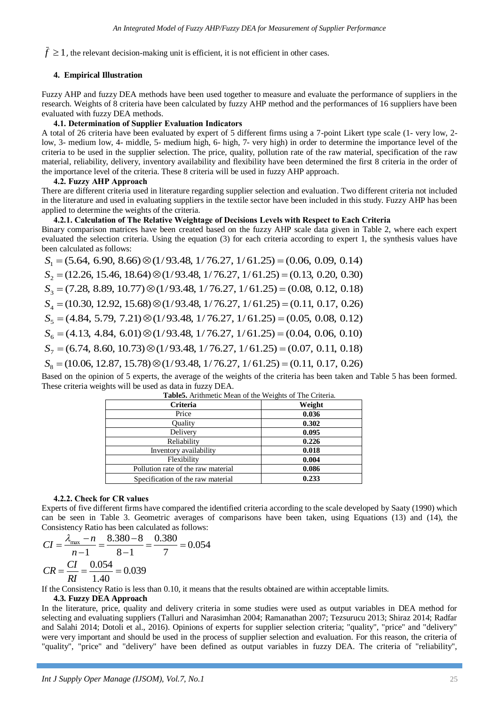# **4. Empirical Illustration**

Fuzzy AHP and fuzzy DEA methods have been used together to measure and evaluate the performance of suppliers in the research. Weights of 8 criteria have been calculated by fuzzy AHP method and the performances of 16 suppliers have been evaluated with fuzzy DEA methods.

# **4.1. Determination of Supplier Evaluation Indicators**

A total of 26 criteria have been evaluated by expert of 5 different firms using a 7-point Likert type scale (1- very low, 2 low, 3- medium low, 4- middle, 5- medium high, 6- high, 7- very high) in order to determine the importance level of the criteria to be used in the supplier selection. The price, quality, pollution rate of the raw material, specification of the raw material, reliability, delivery, inventory availability and flexibility have been determined the first 8 criteria in the order of the importance level of the criteria. These 8 criteria will be used in fuzzy AHP approach.

# **4.2. Fuzzy AHP Approach**

There are different criteria used in literature regarding supplier selection and evaluation. Two different criteria not included in the literature and used in evaluating suppliers in the textile sector have been included in this study. Fuzzy AHP has been applied to determine the weights of the criteria.

# **4.2.1. Calculation of The Relative Weightage of Decisions Levels with Respect to Each Criteria**

Binary comparison matrices have been created based on the fuzzy AHP scale data given in Table 2, where each expert evaluated the selection criteria. Using the equation (3) for each criteria according to expert 1, the synthesis values have been calculated as follows:

*I* 2.1, 0), clear of the relevant decision in the relevant decision in other is not effect the relevant of the relevant of the relevant of the relevant decision in the relevant of the relevant of the relevant of the rel  $S_1 = (5.64, 6.90, 8.66) \otimes (1/93.48, 1/76.27, 1/61.25) = (0.06, 0.09, 0.14)$  $S_2 = (12.26, 15.46, 18.64) \otimes (1/93.48, 1/76.27, 1/61.25) = (0.13, 0.20, 0.30)$  $S_3 = (7.28, 8.89, 10.77) \otimes (1/93.48, 1/76.27, 1/61.25) = (0.08, 0.12, 0.18)$  $S_4 = (10.30, 12.92, 15.68) \otimes (1/93.48, 1/76.27, 1/61.25) = (0.11, 0.17, 0.26)$  $S_5 = (4.84, 5.79, 7.21) \otimes (1/93.48, 1/76.27, 1/61.25) = (0.05, 0.08, 0.12)$  $S_6 = (4.13, 4.84, 6.01) \otimes (1/93.48, 1/76.27, 1/61.25) = (0.04, 0.06, 0.10)$  $S_7 = (6.74, 8.60, 10.73) \otimes (1/93.48, 1/76.27, 1/61.25) = (0.07, 0.11, 0.18)$  $S_8 = (10.06, 12.87, 15.78) \otimes (1/93.48, 1/76.27, 1/61.25) = (0.11, 0.17, 0.26)$ 

Based on the opinion of 5 experts, the average of the weights of the criteria has been taken and Table 5 has been formed. These criteria weights will be used as data in fuzzy DEA.

| Criteria                           | Weight |
|------------------------------------|--------|
| Price                              | 0.036  |
| Quality                            | 0.302  |
| Delivery                           | 0.095  |
| Reliability                        | 0.226  |
| Inventory availability             | 0.018  |
| Flexibility                        | 0.004  |
| Pollution rate of the raw material | 0.086  |
| Specification of the raw material  | 0.233  |

| Table5. Arithmetic Mean of the Weights of The Criteria. |
|---------------------------------------------------------|
|---------------------------------------------------------|

# **4.2.2. Check for CR values**

Experts of five different firms have compared the identified criteria according to the scale developed by Saaty (1990) which can be seen in Table 3. Geometric averages of comparisons have been taken, using Equations (13) and (14), the Consistency Ratio has been calculated as follows:

$$
CI = \frac{\lambda_{\text{max}} - n}{n - 1} = \frac{8.380 - 8}{8 - 1} = \frac{0.380}{7} = 0.054
$$
  

$$
CR = \frac{CI}{RI} = \frac{0.054}{1.40} = 0.039
$$

If the Consistency Ratio is less than 0.10, it means that the results obtained are within acceptable limits.

# **4.3. Fuzzy DEA Approach**

In the literature, price, quality and delivery criteria in some studies were used as output variables in DEA method for selecting and evaluating suppliers (Talluri and Narasimhan 2004; Ramanathan 2007; Tezsurucu 2013; Shiraz 2014; Radfar and Salahi 2014; Dotoli et al., 2016). Opinions of experts for supplier selection criteria; "quality", "price" and "delivery" were very important and should be used in the process of supplier selection and evaluation. For this reason, the criteria of "quality", "price" and "delivery" have been defined as output variables in fuzzy DEA. The criteria of "reliability",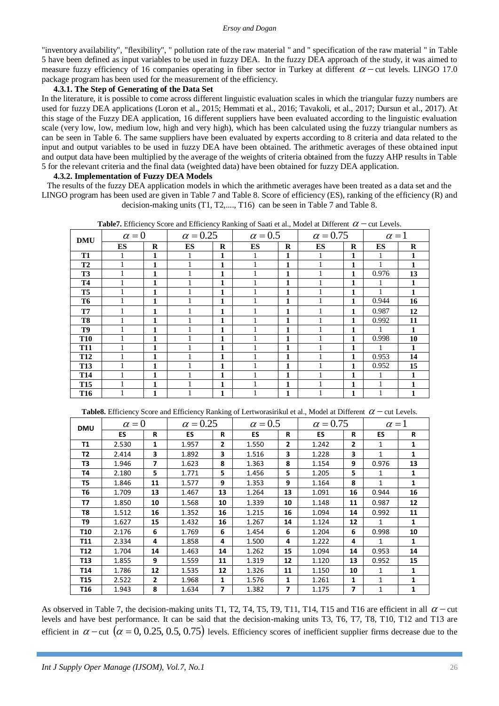"inventory availability", "flexibility", " pollution rate of the raw material " and " specification of the raw material " in Table 5 have been defined as input variables to be used in fuzzy DEA. In the fuzzy DEA approach of the study, it was aimed to measure fuzzy efficiency of 16 companies operating in fiber sector in Turkey at different  $\alpha$  – cut levels. LINGO 17.0 package program has been used for the measurement of the efficiency.

## **4.3.1. The Step of Generating of the Data Set**

In the literature, it is possible to come across different linguistic evaluation scales in which the triangular fuzzy numbers are used for fuzzy DEA applications (Loron et al., 2015; Hemmati et al., 2016; Tavakoli, et al., 2017; Dursun et al., 2017). At this stage of the Fuzzy DEA application, 16 different suppliers have been evaluated according to the linguistic evaluation scale (very low, low, medium low, high and very high), which has been calculated using the fuzzy triangular numbers as can be seen in Table 6. The same suppliers have been evaluated by experts according to 8 criteria and data related to the input and output variables to be used in fuzzy DEA have been obtained. The arithmetic averages of these obtained input and output data have been multiplied by the average of the weights of criteria obtained from the fuzzy AHP results in Table 5 for the relevant criteria and the final data (weighted data) have been obtained for fuzzy DEA application.

## **4.3.2. Implementation of Fuzzy DEA Models**

The results of the fuzzy DEA application models in which the arithmetic averages have been treated as a data set and the LINGO program has been used are given in Table 7 and Table 8. Score of efficiency (ES), ranking of the efficiency (R) and decision-making units (T1, T2,...., T16) can be seen in Table 7 and Table 8.

| <b>DMU</b>      | $\alpha = 0$ |          | $\alpha = 0.25$ |              | $\alpha = 0.5$ |   | $\alpha = 0.75$ |          | $\alpha = 1$ |          |
|-----------------|--------------|----------|-----------------|--------------|----------------|---|-----------------|----------|--------------|----------|
|                 | ES           | $\bf{R}$ | ES              | $\bf{R}$     | <b>ES</b>      | R | ES              | $\bf{R}$ | ES           | $\bf{R}$ |
| T <sub>1</sub>  |              | 1        |                 | 1            |                | 1 |                 |          |              |          |
| T2              |              |          |                 | 1            |                | 1 |                 |          |              |          |
| <b>T3</b>       |              | 1        |                 | 1            |                | 1 |                 | 1        | 0.976        | 13       |
| <b>T4</b>       |              | 1        |                 | 1            |                | 1 |                 | 1        | 1            | 1        |
| T <sub>5</sub>  |              | 1        |                 | 1            |                | 1 |                 |          |              |          |
| T <sub>6</sub>  |              | 1        |                 | 1            |                | 1 |                 | 1        | 0.944        | 16       |
| T7              |              | 1        |                 | 1            |                | 1 |                 | 1        | 0.987        | 12       |
| T <sub>8</sub>  |              | 1        |                 | $\mathbf{1}$ |                | 1 |                 | 1        | 0.992        | 11       |
| T <sub>9</sub>  |              | 1        |                 | $\mathbf{1}$ |                | 1 |                 | 1        | 1            | 1        |
| <b>T10</b>      |              | 1        |                 | 1            |                | 1 |                 | 1        | 0.998        | 10       |
| <b>T11</b>      |              | 1        |                 | 1            |                | 1 |                 | 1        |              | 1        |
| <b>T12</b>      |              | 1        |                 | $\mathbf{1}$ |                | 1 |                 | 1        | 0.953        | 14       |
| <b>T13</b>      |              | 1        |                 | $\mathbf{1}$ |                | 1 |                 | 1        | 0.952        | 15       |
| <b>T14</b>      |              | 1        |                 | $\mathbf{1}$ |                | 1 |                 | 1        |              |          |
| <b>T15</b>      |              | 1        |                 | $\mathbf{1}$ |                | 1 |                 | 1        |              |          |
| T <sub>16</sub> |              | 1        |                 | 1            |                | 1 |                 | 1        |              |          |

**Table7.** Efficiency Score and Efficiency Ranking of Saati et al., Model at Different  $\alpha$  – cut Levels.

Table8. Efficiency Score and Efficiency Ranking of Lertworasirikul et al., Model at Different  $\alpha$  – cut Levels.

| <b>DMU</b>      | $\alpha = 0$ |                          | $\alpha = 0.25$ |              | $\alpha = 0.5$ |    | $\alpha = 0.75$ |                | $\alpha = 1$ |    |
|-----------------|--------------|--------------------------|-----------------|--------------|----------------|----|-----------------|----------------|--------------|----|
|                 | <b>ES</b>    | R                        | <b>ES</b>       | R            | <b>ES</b>      | R  | ES              | R              | ES           | R  |
| <b>T1</b>       | 2.530        | 1                        | 1.957           | $\mathbf{2}$ | 1.550          | 2  | 1.242           | $\overline{2}$ | $\mathbf{1}$ | 1  |
| T2              | 2.414        | 3                        | 1.892           | 3            | 1.516          | 3  | 1.228           | 3              | $\mathbf{1}$ | 1  |
| T3              | 1.946        | $\overline{\phantom{a}}$ | 1.623           | 8            | 1.363          | 8  | 1.154           | 9              | 0.976        | 13 |
| Τ4              | 2.180        | 5                        | 1.771           | 5            | 1.456          | 5  | 1.205           | 5              | $\mathbf{1}$ | 1  |
| T5              | 1.846        | 11                       | 1.577           | 9            | 1.353          | 9  | 1.164           | 8              | $\mathbf{1}$ | 1  |
| Т6              | 1.709        | 13                       | 1.467           | 13           | 1.264          | 13 | 1.091           | 16             | 0.944        | 16 |
| <b>T7</b>       | 1.850        | 10                       | 1.568           | 10           | 1.339          | 10 | 1.148           | 11             | 0.987        | 12 |
| T8              | 1.512        | 16                       | 1.352           | 16           | 1.215          | 16 | 1.094           | 14             | 0.992        | 11 |
| T9              | 1.627        | 15                       | 1.432           | 16           | 1.267          | 14 | 1.124           | 12             | 1            | 1  |
| T <sub>10</sub> | 2.176        | 6                        | 1.769           | 6            | 1.454          | 6  | 1.204           | 6              | 0.998        | 10 |
| T11             | 2.334        | 4                        | 1.858           | 4            | 1.500          | 4  | 1.222           | 4              | $\mathbf{1}$ | 1  |
| T12             | 1.704        | 14                       | 1.463           | 14           | 1.262          | 15 | 1.094           | 14             | 0.953        | 14 |
| T <sub>13</sub> | 1.855        | 9                        | 1.559           | 11           | 1.319          | 12 | 1.120           | 13             | 0.952        | 15 |
| T <sub>14</sub> | 1.786        | 12                       | 1.535           | 12           | 1.326          | 11 | 1.150           | 10             | 1            | 1  |
| T <sub>15</sub> | 2.522        | $\overline{2}$           | 1.968           | 1            | 1.576          | 1  | 1.261           | 1              | 1            | 1  |
| T16             | 1.943        | 8                        | 1.634           | 7            | 1.382          | 7  | 1.175           | $\overline{ }$ | 1            | 1  |

As observed in Table 7, the decision-making units T1, T2, T4, T5, T9, T11, T14, T15 and T16 are efficient in all  $\alpha$  – cut levels and have best performance. It can be said that the decision-making units T3, T6, T7, T8, T10, T12 and T13 are efficient in  $\alpha$  – cut  $(\alpha = 0, 0.25, 0.5, 0.75)$  levels. Efficiency scores of inefficient supplier firms decrease due to the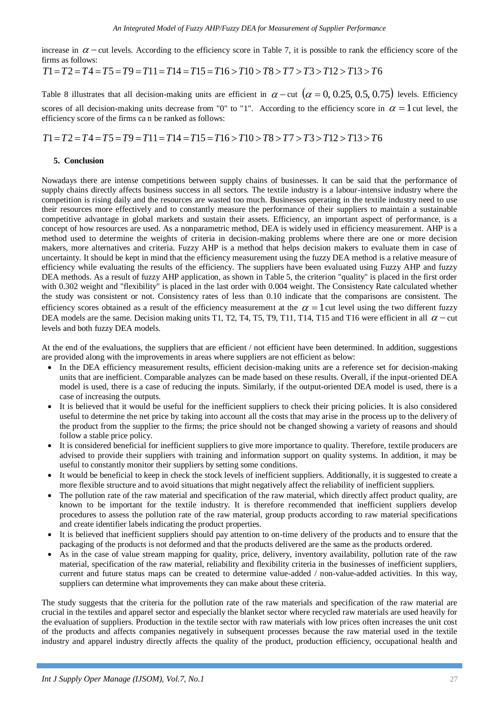increase in  $\alpha$  – cut levels. According to the efficiency score in Table 7, it is possible to rank the efficiency score of the firms as follows:

$$
T1 = T2 = T4 = T5 = T9 = T11 = T14 = T15 = T16 > T10 > T8 > T7 > T3 > T12 > T13 > T6
$$

Table 8 illustrates that all decision-making units are efficient in  $\alpha$  – cut  $(\alpha = 0, 0.25, 0.5, 0.75)$  levels. Efficiency scores of all decision-making units decrease from "0" to "1". According to the efficiency score in  $\alpha = 1$  cut level, the efficiency score of the firms ca n be ranked as follows:

$$
T1 = T2 = T4 = T5 = T9 = T11 = T14 = T15 = T16 > T10 > T8 > T7 > T3 > T12 > T13 > T6
$$

# **5. Conclusion**

Nowadays there are intense competitions between supply chains of businesses. It can be said that the performance of supply chains directly affects business success in all sectors. The textile industry is a labour-intensive industry where the competition is rising daily and the resources are wasted too much. Businesses operating in the textile industry need to use their resources more effectively and to constantly measure the performance of their suppliers to maintain a sustainable competitive advantage in global markets and sustain their assets. Efficiency, an important aspect of performance, is a concept of how resources are used. As a nonparametric method, DEA is widely used in efficiency measurement. AHP is a method used to determine the weights of criteria in decision-making problems where there are one or more decision makers, more alternatives and criteria. Fuzzy AHP is a method that helps decision makers to evaluate them in case of uncertainty. It should be kept in mind that the efficiency measurement using the fuzzy DEA method is a relative measure of efficiency while evaluating the results of the efficiency. The suppliers have been evaluated using Fuzzy AHP and fuzzy DEA methods. As a result of fuzzy AHP application, as shown in Table 5, the criterion "quality" is placed in the first order with 0.302 weight and "flexibility" is placed in the last order with 0.004 weight. The Consistency Rate calculated whether the study was consistent or not. Consistency rates of less than 0.10 indicate that the comparisons are consistent. The efficiency scores obtained as a result of the efficiency measurement at the  $\alpha = 1$  cut level using the two different fuzzy DEA models are the same. Decision making units T1, T2, T4, T5, T9, T11, T14, T15 and T16 were efficient in all  $\alpha$  – cut levels and both fuzzy DEA models.

At the end of the evaluations, the suppliers that are efficient / not efficient have been determined. In addition, suggestions are provided along with the improvements in areas where suppliers are not efficient as below:

- In the DEA efficiency measurement results, efficient decision-making units are a reference set for decision-making units that are inefficient. Comparable analyzes can be made based on these results. Overall, if the input-oriented DEA model is used, there is a case of reducing the inputs. Similarly, if the output-oriented DEA model is used, there is a case of increasing the outputs.
- It is believed that it would be useful for the inefficient suppliers to check their pricing policies. It is also considered useful to determine the net price by taking into account all the costs that may arise in the process up to the delivery of the product from the supplier to the firms; the price should not be changed showing a variety of reasons and should follow a stable price policy.
- It is considered beneficial for inefficient suppliers to give more importance to quality. Therefore, textile producers are advised to provide their suppliers with training and information support on quality systems. In addition, it may be useful to constantly monitor their suppliers by setting some conditions.
- It would be beneficial to keep in check the stock levels of inefficient suppliers. Additionally, it is suggested to create a more flexible structure and to avoid situations that might negatively affect the reliability of inefficient suppliers.
- The pollution rate of the raw material and specification of the raw material, which directly affect product quality, are known to be important for the textile industry. It is therefore recommended that inefficient suppliers develop procedures to assess the pollution rate of the raw material, group products according to raw material specifications and create identifier labels indicating the product properties.
- It is believed that inefficient suppliers should pay attention to on-time delivery of the products and to ensure that the packaging of the products is not deformed and that the products delivered are the same as the products ordered.
- As in the case of value stream mapping for quality, price, delivery, inventory availability, pollution rate of the raw material, specification of the raw material, reliability and flexibility criteria in the businesses of inefficient suppliers, current and future status maps can be created to determine value-added / non-value-added activities. In this way, suppliers can determine what improvements they can make about these criteria.

The study suggests that the criteria for the pollution rate of the raw materials and specification of the raw material are crucial in the textiles and apparel sector and especially the blanket sector where recycled raw materials are used heavily for the evaluation of suppliers. Production in the textile sector with raw materials with low prices often increases the unit cost of the products and affects companies negatively in subsequent processes because the raw material used in the textile industry and apparel industry directly affects the quality of the product, production efficiency, occupational health and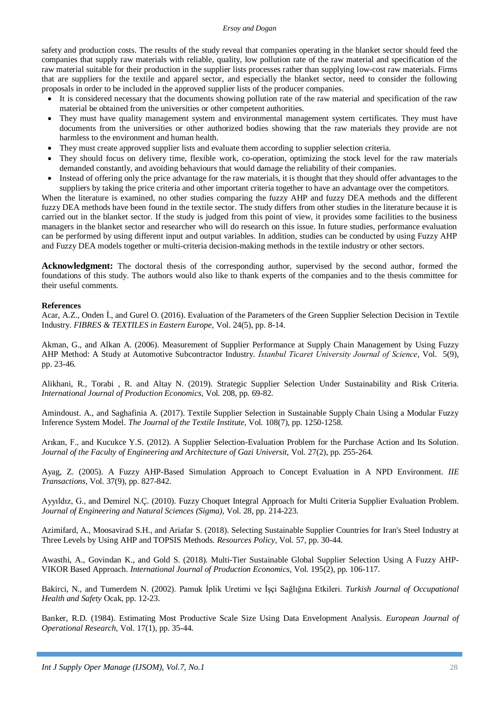safety and production costs. The results of the study reveal that companies operating in the blanket sector should feed the companies that supply raw materials with reliable, quality, low pollution rate of the raw material and specification of the raw material suitable for their production in the supplier lists processes rather than supplying low-cost raw materials. Firms that are suppliers for the textile and apparel sector, and especially the blanket sector, need to consider the following proposals in order to be included in the approved supplier lists of the producer companies.

- It is considered necessary that the documents showing pollution rate of the raw material and specification of the raw material be obtained from the universities or other competent authorities.
- They must have quality management system and environmental management system certificates. They must have documents from the universities or other authorized bodies showing that the raw materials they provide are not harmless to the environment and human health.
- They must create approved supplier lists and evaluate them according to supplier selection criteria.
- They should focus on delivery time, flexible work, co-operation, optimizing the stock level for the raw materials demanded constantly, and avoiding behaviours that would damage the reliability of their companies.
- Instead of offering only the price advantage for the raw materials, it is thought that they should offer advantages to the suppliers by taking the price criteria and other important criteria together to have an advantage over the competitors.

When the literature is examined, no other studies comparing the fuzzy AHP and fuzzy DEA methods and the different fuzzy DEA methods have been found in the textile sector. The study differs from other studies in the literature because it is carried out in the blanket sector. If the study is judged from this point of view, it provides some facilities to the business managers in the blanket sector and researcher who will do research on this issue. In future studies, performance evaluation can be performed by using different input and output variables. In addition, studies can be conducted by using Fuzzy AHP and Fuzzy DEA models together or multi-criteria decision-making methods in the textile industry or other sectors.

**Acknowledgment:** The doctoral thesis of the corresponding author, supervised by the second author, formed the foundations of this study. The authors would also like to thank experts of the companies and to the thesis committee for their useful comments.

## **References**

Acar, A.Z., Onden İ., and Gurel O. (2016). Evaluation of the Parameters of the Green Supplier Selection Decision in Textile Industry. *FIBRES & TEXTILES in Eastern Europe*, Vol. 24(5), pp. 8-14.

Akman, G., and Alkan A. (2006). Measurement of Supplier Performance at Supply Chain Management by Using Fuzzy AHP Method: A Study at Automotive Subcontractor Industry. *İstanbul Ticaret University Journal of Science,* Vol*.* 5(9), pp. 23-46.

Alikhani, R., Torabi , R. and Altay N. (2019). Strategic Supplier Selection Under Sustainability and Risk Criteria. *International Journal of Production Economics,* Vol*.* 208, pp. 69-82.

Amindoust. A., and Saghafinia A. (2017). Textile Supplier Selection in Sustainable Supply Chain Using a Modular Fuzzy Inference System Model. *The Journal of the Textile Institute,* Vol*.* 108(7), pp. 1250-1258.

Arıkan, F., and Kucukce Y.S. (2012). A Supplier Selection-Evaluation Problem for the Purchase Action and Its Solution. *Journal of the Faculty of Engineering and Architecture of Gazi Universit,* Vol*.* 27(2), pp. 255-264.

Ayag, Z. (2005). A Fuzzy AHP-Based Simulation Approach to Concept Evaluation in A NPD Environment. *IIE Transactions,* Vol*.* 37(9), pp. 827-842.

Ayyıldız, G., and Demirel N.Ç. (2010). Fuzzy Choquet Integral Approach for Multi Criteria Supplier Evaluation Problem. *Journal of Engineering and Natural Sciences (Sigma),* Vol*.* 28, pp. 214-223.

Azimifard, A., Moosavirad S.H., and Ariafar S. (2018). Selecting Sustainable Supplier Countries for Iran's Steel Industry at Three Levels by Using AHP and TOPSIS Methods. *Resources Policy,* Vol*.* 57, pp. 30-44.

Awasthi, A., Govindan K., and Gold S. (2018). Multi-Tier Sustainable Global Supplier Selection Using A Fuzzy AHP-VIKOR Based Approach. *International Journal of Production Economics,* Vol*.* 195(2), pp. 106-117.

Bakirci, N., and Tumerdem N. (2002). Pamuk İplik Uretimi ve İşçi Sağlığına Etkileri. *Turkish Journal of Occupational Health and Safety* Ocak, pp*.* 12-23.

Banker, R.D. (1984). Estimating Most Productive Scale Size Using Data Envelopment Analysis. *European Journal of Operational Research,* Vol*.* 17(1), pp. 35-44.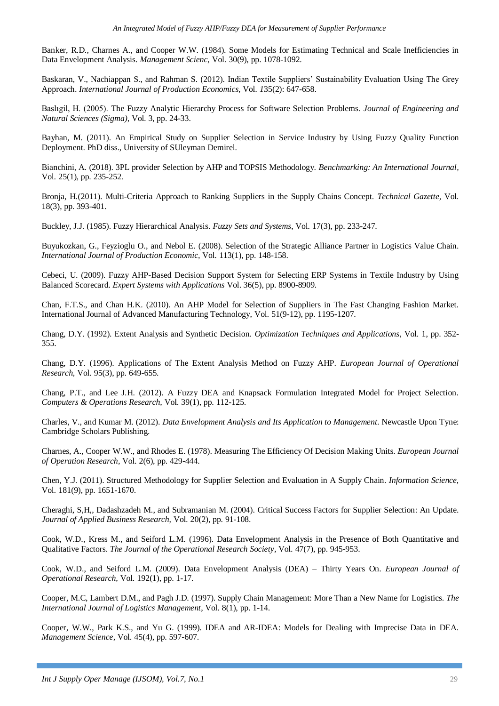Banker, R.D., Charnes A., and Cooper W.W. (1984). Some Models for Estimating Technical and Scale Inefficiencies in Data Envelopment Analysis. *Management Scienc,* Vol*.* 30(9), pp. 1078-1092.

Baskaran, V., Nachiappan S., and Rahman S. (2012). Indian Textile Suppliers' Sustainability Evaluation Using The Grey Approach. *International Journal of Production Economics,* Vol*. 1*35(2): 647-658.

Baslıgil, H. (2005). The Fuzzy Analytic Hierarchy Process for Software Selection Problems. *Journal of Engineering and Natural Sciences (Sigma),* Vol*.* 3, pp. 24-33.

Bayhan, M. (2011). An Empirical Study on Supplier Selection in Service Industry by Using Fuzzy Quality Function Deployment. PhD diss., University of SUleyman Demirel.

Bianchini, A. (2018). 3PL provider Selection by AHP and TOPSIS Methodology. *Benchmarking: An International Journal,*  Vol*.* 25(1), pp. 235-252.

Bronja, H.(2011). Multi-Criteria Approach to Ranking Suppliers in the Supply Chains Concept. *Technical Gazette,* Vol*.* 18(3), pp. 393-401.

Buckley, J.J. (1985). Fuzzy Hierarchical Analysis. *Fuzzy Sets and Systems*, Vol*.* 17(3), pp. 233-247.

Buyukozkan, G., Feyzioglu O., and Nebol E. (2008). Selection of the Strategic Alliance Partner in Logistics Value Chain. *International Journal of Production Economic,* Vol*.* 113(1), pp. 148-158.

Cebeci, U. (2009). Fuzzy AHP-Based Decision Support System for Selecting ERP Systems in Textile Industry by Using Balanced Scorecard. *Expert Systems with Applications* Vol. 36(5), pp. 8900-8909.

Chan, F.T.S., and Chan H.K. (2010). An AHP Model for Selection of Suppliers in The Fast Changing Fashion Market. International Journal of Advanced Manufacturing Technology, Vol*.* 51(9-12), pp. 1195-1207.

Chang, D.Y. (1992). Extent Analysis and Synthetic Decision. *Optimization Techniques and Applications,* Vol*.* 1, pp. 352- 355.

Chang, D.Y. (1996). Applications of The Extent Analysis Method on Fuzzy AHP. *European Journal of Operational Research,* Vol*.* 95(3), pp. 649-655.

Chang, P.T., and Lee J.H. (2012). A Fuzzy DEA and Knapsack Formulation Integrated Model for Project Selection. *Computers & Operations Research,* Vol*.* 39(1), pp. 112-125.

Charles, V., and Kumar M. (2012). *Data Envelopment Analysis and Its Application to Management*. Newcastle Upon Tyne: Cambridge Scholars Publishing.

Charnes, A., Cooper W.W., and Rhodes E. (1978). Measuring The Efficiency Of Decision Making Units. *European Journal of Operation Research,* Vol*.* 2(6), pp. 429-444.

Chen, Y.J. (2011). Structured Methodology for Supplier Selection and Evaluation in A Supply Chain. *Information Science,*  Vol*.* 181(9), pp. 1651-1670.

Cheraghi, S,H,, Dadashzadeh M., and Subramanian M. (2004). Critical Success Factors for Supplier Selection: An Update. *Journal of Applied Business Research,* Vol*.* 20(2), pp. 91-108.

Cook, W.D., Kress M., and Seiford L.M. (1996). Data Envelopment Analysis in the Presence of Both Quantitative and Qualitative Factors. *The Journal of the Operational Research Society,* Vol*.* 47(7), pp. 945-953.

Cook, W.D., and Seiford L.M. (2009). Data Envelopment Analysis (DEA) – Thirty Years On. *European Journal of Operational Research,* Vol*.* 192(1), pp. 1-17.

Cooper, M.C, Lambert D.M., and Pagh J.D. (1997). Supply Chain Management: More Than a New Name for Logistics. *The International Journal of Logistics Management*, Vol*.* 8(1), pp. 1-14.

Cooper, W.W., Park K.S., and Yu G. (1999). IDEA and AR-IDEA: Models for Dealing with Imprecise Data in DEA. *Management Science,* Vol*.* 45(4), pp. 597-607.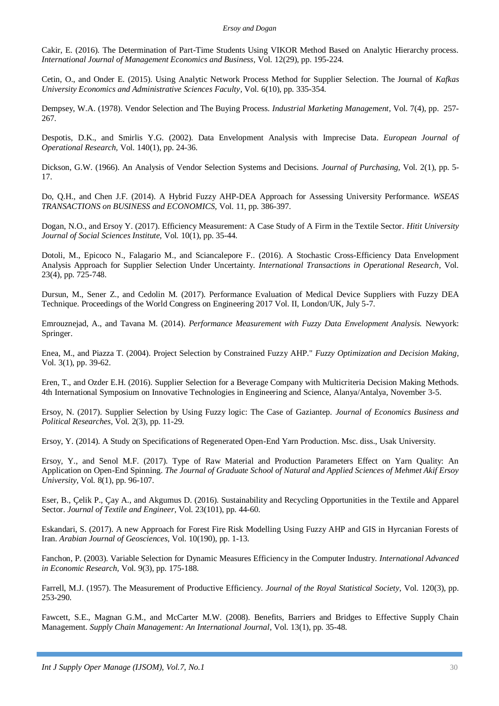Cakir, E. (2016). The Determination of Part-Time Students Using VIKOR Method Based on Analytic Hierarchy process. *International Journal of Management Economics and Business,* Vol*.* 12(29), pp. 195-224.

Cetin, O., and Onder E. (2015). Using Analytic Network Process Method for Supplier Selection. The Journal of *Kafkas University Economics and Administrative Sciences Faculty,* Vol*.* 6(10), pp. 335-354.

Dempsey, W.A. (1978). Vendor Selection and The Buying Process. *Industrial Marketing Management,* Vol*.* 7(4), pp. 257- 267.

Despotis, D.K., and Smirlis Y.G. (2002). Data Envelopment Analysis with Imprecise Data. *European Journal of Operational Research,* Vol*.* 140(1), pp. 24-36.

Dickson, G.W. (1966). An Analysis of Vendor Selection Systems and Decisions. *Journal of Purchasing,* Vol*.* 2(1), pp. 5- 17.

Do, Q.H., and Chen J.F. (2014). A Hybrid Fuzzy AHP-DEA Approach for Assessing University Performance. *WSEAS TRANSACTIONS on BUSINESS and ECONOMICS,* Vol*.* 11, pp. 386-397.

Dogan, N.O., and Ersoy Y. (2017). Efficiency Measurement: A Case Study of A Firm in the Textile Sector. *Hitit University Journal of Social Sciences Institute,* Vol*.* 10(1), pp. 35-44.

Dotoli, M., Epicoco N., Falagario M., and Sciancalepore F.. (2016). A Stochastic Cross-Efficiency Data Envelopment Analysis Approach for Supplier Selection Under Uncertainty. *International Transactions in Operational Research,* Vol*.* 23(4), pp. 725-748.

Dursun, M., Sener Z., and Cedolin M. (2017). Performance Evaluation of Medical Device Suppliers with Fuzzy DEA Technique. Proceedings of the World Congress on Engineering 2017 Vol. II, London/UK, July 5-7.

Emrouznejad, A., and Tavana M. (2014). *Performance Measurement with Fuzzy Data Envelopment Analysis.* Newyork: Springer.

Enea, M., and Piazza T. (2004). Project Selection by Constrained Fuzzy AHP." *Fuzzy Optimization and Decision Making,*  Vol*.* 3(1), pp. 39-62.

Eren, T., and Ozder E.H. (2016). Supplier Selection for a Beverage Company with Multicriteria Decision Making Methods. 4th International Symposium on Innovative Technologies in Engineering and Science, Alanya/Antalya, November 3-5.

Ersoy, N. (2017). Supplier Selection by Using Fuzzy logic: The Case of Gaziantep. *Journal of Economics Business and Political Researches,* Vol*.* 2(3), pp. 11-29.

Ersoy, Y. (2014). A Study on Specifications of Regenerated Open-End Yarn Production. Msc. diss., Usak University.

Ersoy, Y., and Senol M.F. (2017). Type of Raw Material and Production Parameters Effect on Yarn Quality: An Application on Open-End Spinning. *The Journal of Graduate School of Natural and Applied Sciences of Mehmet Akif Ersoy University,* Vol*.* 8(1), pp. 96-107.

Eser, B., Çelik P., Çay A., and Akgumus D. (2016). Sustainability and Recycling Opportunities in the Textile and Apparel Sector. *Journal of Textile and Engineer,* Vol*.* 23(101), pp. 44-60.

Eskandari, S. (2017). A new Approach for Forest Fire Risk Modelling Using Fuzzy AHP and GIS in Hyrcanian Forests of Iran. *Arabian Journal of Geosciences,* Vol*.* 10(190), pp. 1-13.

Fanchon, P. (2003). Variable Selection for Dynamic Measures Efficiency in the Computer Industry. *International Advanced in Economic Research,* Vol*.* 9(3), pp. 175-188.

Farrell, M.J. (1957). The Measurement of Productive Efficiency. *Journal of the Royal Statistical Society,* Vol*.* 120(3), pp. 253-290.

Fawcett, S.E., Magnan G.M., and McCarter M.W. (2008). Benefits, Barriers and Bridges to Effective Supply Chain Management. *Supply Chain Management: An International Journal*, Vol*.* 13(1), pp. 35-48.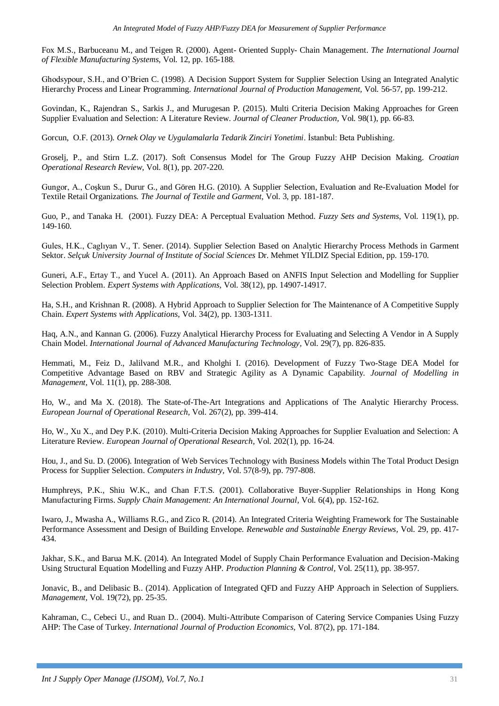Fox M.S., Barbuceanu M., and Teigen R. (2000). Agent- Oriented Supply- Chain Management. *The International Journal of Flexible Manufacturing Systems*, Vol*.* 12, pp. 165-188.

Ghodsypour, S.H., and O'Brien C. (1998). A Decision Support System for Supplier Selection Using an Integrated Analytic Hierarchy Process and Linear Programming. *International Journal of Production Management,* Vol*.* 56-57, pp. 199-212.

Govindan, K., Rajendran S., Sarkis J., and Murugesan P. (2015). Multi Criteria Decision Making Approaches for Green Supplier Evaluation and Selection: A Literature Review. *Journal of Cleaner Production,* Vol*.* 98(1), pp. 66-83.

Gorcun, O.F. (2013). *Ornek Olay ve Uygulamalarla Tedarik Zinciri Yonetimi*. İstanbul: Beta Publishing.

Groselj, P., and Stirn L.Z. (2017). Soft Consensus Model for The Group Fuzzy AHP Decision Making. *Croatian Operational Research Review,* Vol*.* 8(1), pp. 207-220.

Gungor, A., Coşkun S., Durur G., and Gören H.G. (2010). A Supplier Selection, Evaluation and Re-Evaluation Model for Textile Retail Organizations. *The Journal of Textile and Garment,* Vol*.* 3, pp. 181-187.

Guo, P., and Tanaka H. (2001). Fuzzy DEA: A Perceptual Evaluation Method. *Fuzzy Sets and Systems,* Vol*.* 119(1), pp. 149-160.

Gules, H.K., Caglıyan V., T. Sener. (2014). Supplier Selection Based on Analytic Hierarchy Process Methods in Garment Sektor. *Selçuk University Journal of Institute of Social Sciences* Dr. Mehmet YILDIZ Special Edition, pp. 159-170.

Guneri, A.F., Ertay T., and Yucel A. (2011). An Approach Based on ANFIS Input Selection and Modelling for Supplier Selection Problem. *Expert Systems with Applications,* Vol*.* 38(12), pp. 14907-14917.

Ha, S.H., and Krishnan R. (2008). A Hybrid Approach to Supplier Selection for The Maintenance of A Competitive Supply Chain. *Expert Systems with Applications,* Vol*.* 34(2), pp. 1303-1311.

Haq, A.N., and Kannan G. (2006). Fuzzy Analytical Hierarchy Process for Evaluating and Selecting A Vendor in A Supply Chain Model. *International Journal of Advanced Manufacturing Technology,* Vol*.* 29(7), pp. 826-835.

Hemmati, M., Feiz D., Jalilvand M.R., and Kholghi I. (2016). Development of Fuzzy Two-Stage DEA Model for Competitive Advantage Based on RBV and Strategic Agility as A Dynamic Capability. *Journal of Modelling in Management,* Vol*.* 11(1), pp. 288-308.

Ho, W., and Ma X. (2018). The State-of-The-Art Integrations and Applications of The Analytic Hierarchy Process. *European Journal of Operational Research,* Vol*.* 267(2), pp. 399-414.

Ho, W., Xu X., and Dey P.K. (2010). Multi-Criteria Decision Making Approaches for Supplier Evaluation and Selection: A Literature Review. *European Journal of Operational Research,* Vol*.* 202(1), pp. 16-24.

Hou, J., and Su. D. (2006). Integration of Web Services Technology with Business Models within The Total Product Design Process for Supplier Selection. *Computers in Industry,* Vol*.* 57(8-9), pp. 797-808.

Humphreys, P.K., Shiu W.K., and Chan F.T.S. (2001). Collaborative Buyer-Supplier Relationships in Hong Kong Manufacturing Firms. *Supply Chain Management: An International Journal,* Vol*.* 6(4), pp. 152-162.

Iwaro, J., Mwasha A., Williams R.G., and Zico R. (2014). An Integrated Criteria Weighting Framework for The Sustainable Performance Assessment and Design of Building Envelope. *Renewable and Sustainable Energy Reviews,* Vol*.* 29, pp. 417- 434.

Jakhar, S.K., and Barua M.K. (2014). An Integrated Model of Supply Chain Performance Evaluation and Decision-Making Using Structural Equation Modelling and Fuzzy AHP. *Production Planning & Control*, Vol*.* 25(11), pp. 38-957.

Jonavic, B., and Delibasic B.. (2014). Application of Integrated QFD and Fuzzy AHP Approach in Selection of Suppliers. *Management,* Vol*.* 19(72), pp. 25-35.

Kahraman, C., Cebeci U., and Ruan D.. (2004). Multi-Attribute Comparison of Catering Service Companies Using Fuzzy AHP: The Case of Turkey. *International Journal of Production Economics,* Vol*.* 87(2), pp. 171-184.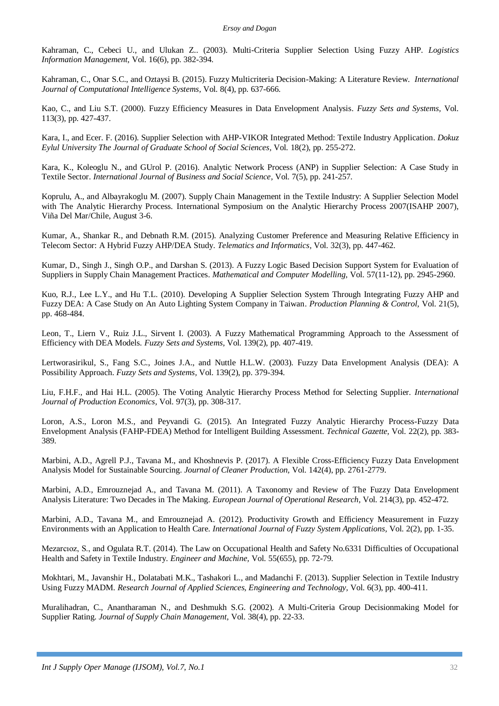Kahraman, C., Cebeci U., and Ulukan Z.. (2003). Multi-Criteria Supplier Selection Using Fuzzy AHP. *Logistics Information Management,* Vol*.* 16(6), pp. 382-394.

Kahraman, C., Onar S.C., and Oztaysi B. (2015). Fuzzy Multicriteria Decision-Making: A Literature Review. *International Journal of Computational Intelligence Systems,* Vol*.* 8(4), pp. 637-666.

Kao, C., and Liu S.T. (2000). Fuzzy Efficiency Measures in Data Envelopment Analysis. *Fuzzy Sets and Systems,* Vol*.* 113(3), pp. 427-437.

Kara, I., and Ecer. F. (2016). Supplier Selection with AHP-VIKOR Integrated Method: Textile Industry Application. *Dokuz Eylul University The Journal of Graduate School of Social Sciences,* Vol*.* 18(2), pp. 255-272.

Kara, K., Koleoglu N., and GUrol P. (2016). Analytic Network Process (ANP) in Supplier Selection: A Case Study in Textile Sector. *International Journal of Business and Social Science,* Vol*.* 7(5), pp. 241-257.

Koprulu, A., and Albayrakoglu M. (2007). Supply Chain Management in the Textile Industry: A Supplier Selection Model with The Analytic Hierarchy Process. International Symposium on the Analytic Hierarchy Process 2007(ISAHP 2007), Viña Del Mar/Chile, August 3-6.

Kumar, A., Shankar R., and Debnath R.M. (2015). Analyzing Customer Preference and Measuring Relative Efficiency in Telecom Sector: A Hybrid Fuzzy AHP/DEA Study. *Telematics and Informatics,* Vol*.* 32(3), pp. 447-462.

Kumar, D., Singh J., Singh O.P., and Darshan S. (2013). A Fuzzy Logic Based Decision Support System for Evaluation of Suppliers in Supply Chain Management Practices. *Mathematical and Computer Modelling,* Vol*.* 57(11-12), pp. 2945-2960.

Kuo, R.J., Lee L.Y., and Hu T.L. (2010). Developing A Supplier Selection System Through Integrating Fuzzy AHP and Fuzzy DEA: A Case Study on An Auto Lighting System Company in Taiwan. *Production Planning & Control,* Vol*.* 21(5), pp. 468-484.

Leon, T., Liern V., Ruiz J.L., Sirvent I. (2003). A Fuzzy Mathematical Programming Approach to the Assessment of Efficiency with DEA Models. *Fuzzy Sets and Systems,* Vol*.* 139(2), pp. 407-419.

Lertworasirikul, S., Fang S.C., Joines J.A., and Nuttle H.L.W. (2003). Fuzzy Data Envelopment Analysis (DEA): A Possibility Approach. *Fuzzy Sets and Systems,* Vol*.* 139(2), pp. 379-394.

Liu, F.H.F., and Hai H.L. (2005). The Voting Analytic Hierarchy Process Method for Selecting Supplier. *International Journal of Production Economics,* Vol*.* 97(3), pp. 308-317.

Loron, A.S., Loron M.S., and Peyvandi G. (2015). An Integrated Fuzzy Analytic Hierarchy Process-Fuzzy Data Envelopment Analysis (FAHP-FDEA) Method for Intelligent Building Assessment. *Technical Gazette,* Vol*.* 22(2), pp. 383- 389.

Marbini, A.D., Agrell P.J., Tavana M., and Khoshnevis P. (2017). A Flexible Cross-Efficiency Fuzzy Data Envelopment Analysis Model for Sustainable Sourcing. *Journal of Cleaner Production,* Vol*.* 142(4), pp. 2761-2779.

Marbini, A.D., Emrouznejad A., and Tavana M. (2011). A Taxonomy and Review of The Fuzzy Data Envelopment Analysis Literature: Two Decades in The Making. *European Journal of Operational Research,* Vol*.* 214(3), pp. 452-472.

Marbini, A.D., Tavana M., and Emrouznejad A. (2012). Productivity Growth and Efficiency Measurement in Fuzzy Environments with an Application to Health Care. *International Journal of Fuzzy System Applications,* Vol*.* 2(2), pp. 1-35.

Mezarcıoz, S., and Ogulata R.T. (2014). The Law on Occupational Health and Safety No.6331 Difficulties of Occupational Health and Safety in Textile Industry. *Engineer and Machine,* Vol*.* 55(655), pp. 72-79.

Mokhtari, M., Javanshir H., Dolatabati M.K., Tashakori L., and Madanchi F. (2013). Supplier Selection in Textile Industry Using Fuzzy MADM. *Research Journal of Applied Sciences, Engineering and Technology,* Vol*.* 6(3), pp. 400-411.

Muralihadran, C., Anantharaman N., and Deshmukh S.G. (2002). A Multi-Criteria Group Decisionmaking Model for Supplier Rating. *Journal of Supply Chain Management,* Vol*.* 38(4), pp. 22-33.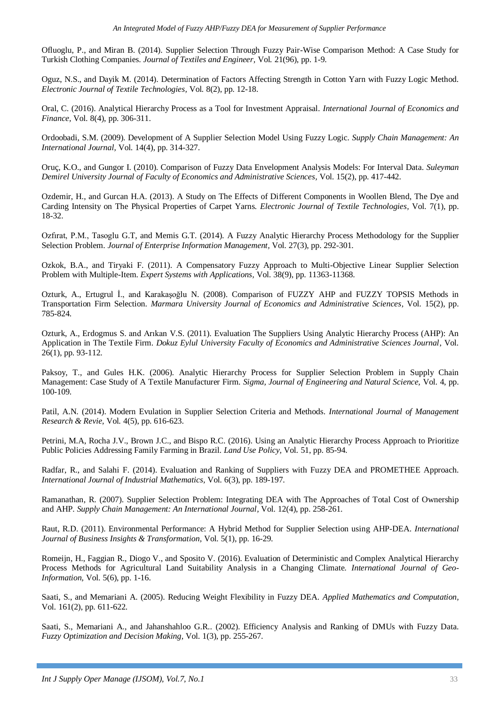Ofluoglu, P., and Miran B. (2014). Supplier Selection Through Fuzzy Pair-Wise Comparison Method: A Case Study for Turkish Clothing Companies. *Journal of Textiles and Engineer,* Vol*.* 21(96), pp. 1-9.

Oguz, N.S., and Dayik M. (2014). Determination of Factors Affecting Strength in Cotton Yarn with Fuzzy Logic Method. *Electronic Journal of Textile Technologies,* Vol*.* 8(2), pp. 12-18.

Oral, C. (2016). Analytical Hierarchy Process as a Tool for Investment Appraisal. *International Journal of Economics and Finance,* Vol*.* 8(4), pp. 306-311.

Ordoobadi, S.M. (2009). Development of A Supplier Selection Model Using Fuzzy Logic. *Supply Chain Management: An International Journal,* Vol*.* 14(4), pp. 314-327.

Oruç, K.O., and Gungor I. (2010). Comparison of Fuzzy Data Envelopment Analysis Models: For Interval Data. *Suleyman Demirel University Journal of Faculty of Economics and Administrative Sciences,* Vol*.* 15(2), pp. 417-442.

Ozdemir, H., and Gurcan H.A. (2013). A Study on The Effects of Different Components in Woollen Blend, The Dye and Carding Intensity on The Physical Properties of Carpet Yarns. *Electronic Journal of Textile Technologies,* Vol*.* 7(1), pp. 18-32.

Ozfırat, P.M., Tasoglu G.T, and Memis G.T. (2014). A Fuzzy Analytic Hierarchy Process Methodology for the Supplier Selection Problem. *Journal of Enterprise Information Management,* Vol*.* 27(3), pp. 292-301.

Ozkok, B.A., and Tiryaki F. (2011). A Compensatory Fuzzy Approach to Multi-Objective Linear Supplier Selection Problem with Multiple-Item. *Expert Systems with Applications,* Vol*.* 38(9), pp. 11363-11368.

Ozturk, A., Ertugrul İ., and Karakaşoğlu N. (2008). Comparison of FUZZY AHP and FUZZY TOPSIS Methods in Transportation Firm Selection. *Marmara University Journal of Economics and Administrative Sciences,* Vol*.* 15(2), pp. 785-824.

Ozturk, A., Erdogmus S. and Arıkan V.S. (2011). Evaluation The Suppliers Using Analytic Hierarchy Process (AHP): An Application in The Textile Firm. *Dokuz Eylul University Faculty of Economics and Administrative Sciences Journal*, Vol*.* 26(1), pp. 93-112.

Paksoy, T., and Gules H.K. (2006). Analytic Hierarchy Process for Supplier Selection Problem in Supply Chain Management: Case Study of A Textile Manufacturer Firm. *Sigma, Journal of Engineering and Natural Science,* Vol*.* 4, pp. 100-109.

Patil, A.N. (2014). Modern Evulation in Supplier Selection Criteria and Methods. *International Journal of Management Research & Revie,* Vol*.* 4(5), pp. 616-623.

Petrini, M.A, Rocha J.V., Brown J.C., and Bispo R.C. (2016). Using an Analytic Hierarchy Process Approach to Prioritize Public Policies Addressing Family Farming in Brazil. *Land Use Policy,* Vol*.* 51, pp. 85-94.

Radfar, R., and Salahi F. (2014). Evaluation and Ranking of Suppliers with Fuzzy DEA and PROMETHEE Approach. *International Journal of Industrial Mathematics,* Vol*.* 6(3), pp. 189-197.

Ramanathan, R. (2007). Supplier Selection Problem: Integrating DEA with The Approaches of Total Cost of Ownership and AHP. *Supply Chain Management: An International Journal,* Vol*.* 12(4), pp. 258-261.

Raut, R.D. (2011). Environmental Performance: A Hybrid Method for Supplier Selection using AHP-DEA. *International Journal of Business Insights & Transformation,* Vol*.* 5(1), pp. 16-29.

Romeijn, H., Faggian R., Diogo V., and Sposito V. (2016). Evaluation of Deterministic and Complex Analytical Hierarchy Process Methods for Agricultural Land Suitability Analysis in a Changing Climate. *International Journal of Geo-Information,* Vol*.* 5(6), pp. 1-16.

Saati, S., and Memariani A. (2005). Reducing Weight Flexibility in Fuzzy DEA. *Applied Mathematics and Computation,*  Vol*.* 161(2), pp. 611-622.

Saati, S., Memariani A., and Jahanshahloo G.R.. (2002). Efficiency Analysis and Ranking of DMUs with Fuzzy Data. *Fuzzy Optimization and Decision Making,* Vol*.* 1(3), pp. 255-267.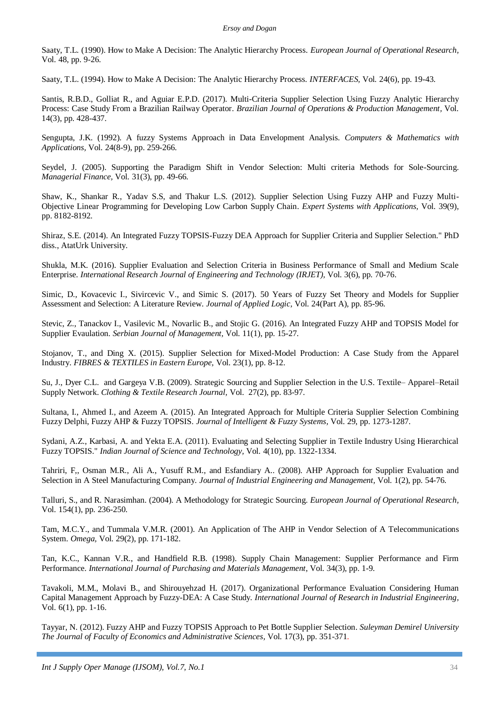Saaty, T.L. (1990). How to Make A Decision: The Analytic Hierarchy Process. *European Journal of Operational Research,*  Vol*.* 48, pp. 9-26.

Saaty, T.L. (1994). How to Make A Decision: The Analytic Hierarchy Process. *INTERFACES,* Vol*.* 24(6), pp. 19-43.

Santis, R.B.D., Golliat R., and Aguiar E.P.D. (2017). Multi-Criteria Supplier Selection Using Fuzzy Analytic Hierarchy Process: Case Study From a Brazilian Railway Operator. *Brazilian Journal of Operations & Production Management,* Vol*.* 14(3), pp. 428-437.

Sengupta, J.K. (1992). A fuzzy Systems Approach in Data Envelopment Analysis. *Computers & Mathematics with Applications,* Vol*.* 24(8-9), pp. 259-266.

Seydel, J. (2005). Supporting the Paradigm Shift in Vendor Selection: Multi criteria Methods for Sole-Sourcing. *Managerial Finance,* Vol*.* 31(3), pp. 49-66.

Shaw, K., Shankar R., Yadav S.S, and Thakur L.S. (2012). Supplier Selection Using Fuzzy AHP and Fuzzy Multi-Objective Linear Programming for Developing Low Carbon Supply Chain. *Expert Systems with Applications,* Vol*.* 39(9), pp. 8182-8192.

Shiraz, S.E. (2014). An Integrated Fuzzy TOPSIS-Fuzzy DEA Approach for Supplier Criteria and Supplier Selection." PhD diss., AtatUrk University.

Shukla, M.K. (2016). Supplier Evaluation and Selection Criteria in Business Performance of Small and Medium Scale Enterprise. *International Research Journal of Engineering and Technology (IRJET),* Vol*.* 3(6), pp. 70-76.

Simic, D., Kovacevic I., Sivircevic V., and Simic S. (2017). 50 Years of Fuzzy Set Theory and Models for Supplier Assessment and Selection: A Literature Review. *Journal of Applied Logic,* Vol*.* 24(Part A), pp. 85-96.

Stevic, Z., Tanackov I., Vasilevic M., Novarlic B., and Stojic G. (2016). An Integrated Fuzzy AHP and TOPSIS Model for Supplier Evaulation. *Serbian Journal of Management,* Vol*.* 11(1), pp. 15-27.

Stojanov, T., and Ding X. (2015). Supplier Selection for Mixed-Model Production: A Case Study from the Apparel Industry. *FIBRES & TEXTILES in Eastern Europe,* Vol*.* 23(1), pp. 8-12.

Su, J., Dyer C.L. and Gargeya V.B. (2009). Strategic Sourcing and Supplier Selection in the U.S. Textile– Apparel–Retail Supply Network. *Clothing & Textile Research Journal,* Vol*.* 27(2), pp. 83-97.

Sultana, I., Ahmed I., and Azeem A. (2015). An Integrated Approach for Multiple Criteria Supplier Selection Combining Fuzzy Delphi, Fuzzy AHP & Fuzzy TOPSIS. *Journal of Intelligent & Fuzzy Systems,* Vol*.* 29, pp. 1273-1287.

Sydani, A.Z., Karbasi, A. and Yekta E.A. (2011). Evaluating and Selecting Supplier in Textile Industry Using Hierarchical Fuzzy TOPSIS." *Indian Journal of Science and Technology,* Vol*.* 4(10), pp. 1322-1334.

Tahriri, F,, Osman M.R., Ali A., Yusuff R.M., and Esfandiary A.. (2008). AHP Approach for Supplier Evaluation and Selection in A Steel Manufacturing Company. *Journal of Industrial Engineering and Management,* Vol*.* 1(2), pp. 54-76.

Talluri, S., and R. Narasimhan. (2004). A Methodology for Strategic Sourcing. *European Journal of Operational Research,*  Vol*.* 154(1), pp. 236-250.

Tam, M.C.Y., and Tummala V.M.R. (2001). An Application of The AHP in Vendor Selection of A Telecommunications System. *Omega,* Vol*.* 29(2), pp. 171-182.

Tan, K.C., Kannan V.R., and Handfield R.B. (1998). Supply Chain Management: Supplier Performance and Firm Performance. *International Journal of Purchasing and Materials Management*, Vol*.* 34(3), pp. 1-9.

Tavakoli, M.M., Molavi B., and Shirouyehzad H. (2017). Organizational Performance Evaluation Considering Human Capital Management Approach by Fuzzy-DEA: A Case Study. *International Journal of Research in Industrial Engineering,*  Vol*.* 6(1), pp. 1-16.

Tayyar, N. (2012). Fuzzy AHP and Fuzzy TOPSIS Approach to Pet Bottle Supplier Selection. *Suleyman Demirel University The Journal of Faculty of Economics and Administrative Sciences,* Vol*.* 17(3), pp. 351-371.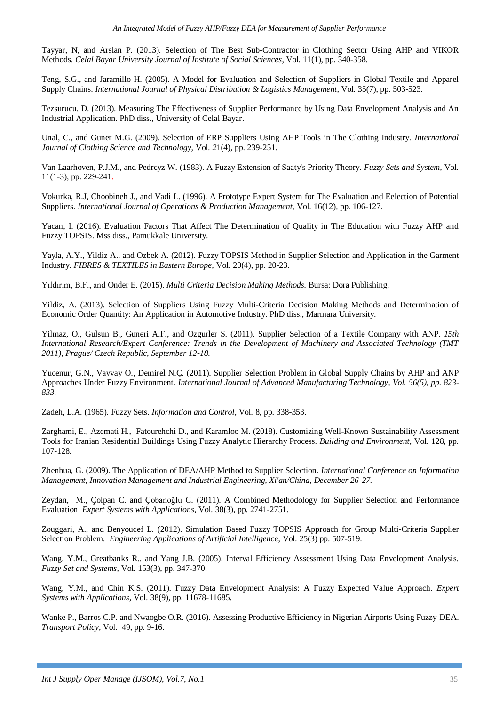Tayyar, N, and Arslan P. (2013). Selection of The Best Sub-Contractor in Clothing Sector Using AHP and VIKOR Methods. *Celal Bayar University Journal of Institute of Social Sciences*, Vol*.* 11(1), pp. 340-358.

Teng, S.G., and Jaramillo H. (2005). A Model for Evaluation and Selection of Suppliers in Global Textile and Apparel Supply Chains. *International Journal of Physical Distribution & Logistics Management,* Vol*.* 35(7), pp. 503-523.

Tezsurucu, D. (2013). Measuring The Effectiveness of Supplier Performance by Using Data Envelopment Analysis and An Industrial Application. PhD diss., University of Celal Bayar.

Unal, C., and Guner M.G. (2009). Selection of ERP Suppliers Using AHP Tools in The Clothing Industry. *International Journal of Clothing Science and Technology,* Vol*. 2*1(4), pp. 239-251.

Van Laarhoven, P.J.M., and Pedrcyz W. (1983). A Fuzzy Extension of Saaty's Priority Theory. *Fuzzy Sets and System,* Vol*.* 11(1-3), pp. 229-241.

Vokurka, R.J, Choobineh J., and Vadi L. (1996). A Prototype Expert System for The Evaluation and Eelection of Potential Suppliers. *International Journal of Operations & Production Management,* Vol*.* 16(12), pp. 106-127.

Yacan, I. (2016). Evaluation Factors That Affect The Determination of Quality in The Education with Fuzzy AHP and Fuzzy TOPSIS. Mss diss., Pamukkale University.

Yayla, A.Y., Yildiz A., and Ozbek A. (2012). Fuzzy TOPSIS Method in Supplier Selection and Application in the Garment Industry. *FIBRES & TEXTILES in Eastern Europe,* Vol*.* 20(4), pp. 20-23.

Yıldırım, B.F., and Onder E. (2015). *Multi Criteria Decision Making Methods.* Bursa: Dora Publishing.

Yildiz, A. (2013). Selection of Suppliers Using Fuzzy Multi-Criteria Decision Making Methods and Determination of Economic Order Quantity: An Application in Automotive Industry. PhD diss., Marmara University.

Yilmaz, O., Gulsun B., Guneri A.F., and Ozgurler S. (2011). Supplier Selection of a Textile Company with ANP. *15th International Research/Expert Conference: Trends in the Development of Machinery and Associated Technology (TMT 2011), Prague/ Czech Republic, September 12-18.*

Yucenur, G.N., Vayvay O., Demirel N.Ç. (2011). Supplier Selection Problem in Global Supply Chains by AHP and ANP Approaches Under Fuzzy Environment. *International Journal of Advanced Manufacturing Technology*, *Vol. 56(5), pp. 823- 833.*

Zadeh, L.A. (1965). Fuzzy Sets. *Information and Control,* Vol*.* 8, pp. 338-353.

Zarghami, E., Azemati H., Fatourehchi D., and Karamloo M. (2018). Customizing Well-Known Sustainability Assessment Tools for Iranian Residential Buildings Using Fuzzy Analytic Hierarchy Process. *Building and Environment*, Vol*.* 128, pp. 107-128.

Zhenhua, G. (2009). The Application of DEA/AHP Method to Supplier Selection. *International Conference on Information Management, Innovation Management and Industrial Engineering, Xi'an/China, December 26-27.*

Zeydan, M., Çolpan C. and Çobanoğlu C. (2011). A Combined Methodology for Supplier Selection and Performance Evaluation. *Expert Systems with Applications,* Vol*.* 38(3), pp. 2741-2751.

Zouggari, A., and Benyoucef L. (2012). Simulation Based Fuzzy TOPSIS Approach for Group Multi-Criteria Supplier Selection Problem*. Engineering Applications of Artificial Intelligence*, Vol*.* 25(3) pp. 507-519.

Wang, Y.M., Greatbanks R., and Yang J.B. (2005). Interval Efficiency Assessment Using Data Envelopment Analysis. *Fuzzy Set and Systems,* Vol*.* 153(3), pp. 347-370.

Wang, Y.M., and Chin K.S. (2011). Fuzzy Data Envelopment Analysis: A Fuzzy Expected Value Approach. *Expert Systems with Applications,* Vol*.* 38(9), pp. 11678-11685.

Wanke P., Barros C.P. and Nwaogbe O.R. (2016). Assessing Productive Efficiency in Nigerian Airports Using Fuzzy-DEA. *Transport Policy,* Vol*.* 49, pp. 9-16.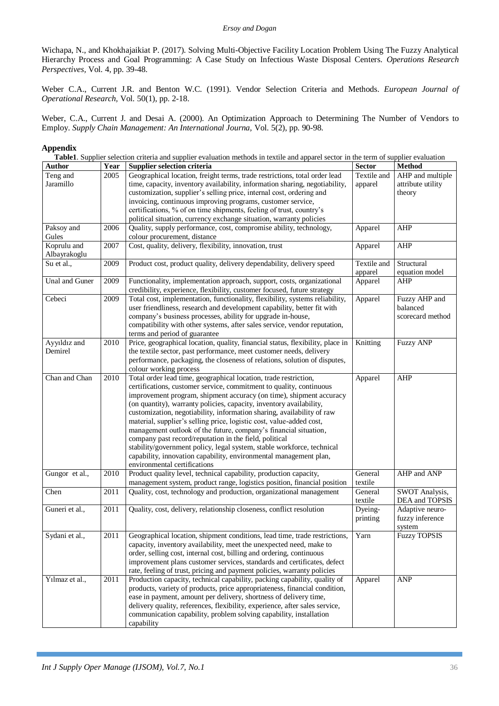Wichapa, N., and Khokhajaikiat P. (2017). Solving Multi-Objective Facility Location Problem Using The Fuzzy Analytical Hierarchy Process and Goal Programming: A Case Study on Infectious Waste Disposal Centers. *Operations Research Perspectives,* Vol*.* 4, pp. 39-48.

Weber C.A., Current J.R. and Benton W.C. (1991). Vendor Selection Criteria and Methods. *European Journal of Operational Research,* Vol*.* 50(1), pp. 2-18.

Weber, C.A., Current J. and Desai A. (2000). An Optimization Approach to Determining The Number of Vendors to Employ. *Supply Chain Management: An International Journa,* Vol*.* 5(2), pp. 90-98.

## **Appendix**

**Table1**. Supplier selection criteria and supplier evaluation methods in textile and apparel sector in the term of supplier evaluation

| <b>Author</b>  | Year              | <b>Supplier selection criteria</b>                                             | <b>Sector</b> | <b>Method</b>       |
|----------------|-------------------|--------------------------------------------------------------------------------|---------------|---------------------|
| Teng and       | 2005              | Geographical location, freight terms, trade restrictions, total order lead     | Textile and   | AHP and multiple    |
| Jaramillo      |                   | time, capacity, inventory availability, information sharing, negotiability,    | apparel       | attribute utility   |
|                |                   | customization, supplier's selling price, internal cost, ordering and           |               | theory              |
|                |                   | invoicing, continuous improving programs, customer service,                    |               |                     |
|                |                   | certifications, % of on time shipments, feeling of trust, country's            |               |                     |
|                |                   | political situation, currency exchange situation, warranty policies            |               |                     |
| Paksoy and     | 2006              | Quality, supply performance, cost, compromise ability, technology,             | Apparel       | <b>AHP</b>          |
| Gules          |                   | colour procurement, distance                                                   |               |                     |
| Koprulu and    | 2007              | Cost, quality, delivery, flexibility, innovation, trust                        | Apparel       | <b>AHP</b>          |
| Albayrakoglu   |                   |                                                                                |               |                     |
| Su et al.,     | 2009              | Product cost, product quality, delivery dependability, delivery speed          | Textile and   | Structural          |
|                |                   |                                                                                | apparel       | equation model      |
| Unal and Guner | 2009              | Functionality, implementation approach, support, costs, organizational         | Apparel       | <b>AHP</b>          |
|                |                   | credibility, experience, flexibility, customer focused, future strategy        |               |                     |
| Cebeci         | 2009              | Total cost, implementation, functionality, flexibility, systems reliability,   | Apparel       | Fuzzy AHP and       |
|                |                   | user friendliness, research and development capability, better fit with        |               | balanced            |
|                |                   | company's business processes, ability for upgrade in-house,                    |               | scorecard method    |
|                |                   | compatibility with other systems, after sales service, vendor reputation,      |               |                     |
|                |                   | terms and period of guarantee                                                  |               |                     |
| Ayyıldız and   | 2010              | Price, geographical location, quality, financial status, flexibility, place in | Knitting      | <b>Fuzzy ANP</b>    |
| Demirel        |                   | the textile sector, past performance, meet customer needs, delivery            |               |                     |
|                |                   | performance, packaging, the closeness of relations, solution of disputes,      |               |                     |
|                |                   | colour working process                                                         |               |                     |
| Chan and Chan  | 2010              | Total order lead time, geographical location, trade restriction,               | Apparel       | <b>AHP</b>          |
|                |                   | certifications, customer service, commitment to quality, continuous            |               |                     |
|                |                   | improvement program, shipment accuracy (on time), shipment accuracy            |               |                     |
|                |                   | (on quantity), warranty policies, capacity, inventory availability,            |               |                     |
|                |                   | customization, negotiability, information sharing, availability of raw         |               |                     |
|                |                   | material, supplier's selling price, logistic cost, value-added cost,           |               |                     |
|                |                   | management outlook of the future, company's financial situation,               |               |                     |
|                |                   | company past record/reputation in the field, political                         |               |                     |
|                |                   | stability/government policy, legal system, stable workforce, technical         |               |                     |
|                |                   | capability, innovation capability, environmental management plan,              |               |                     |
|                |                   | environmental certifications                                                   |               |                     |
| Gungor et al., | $\overline{2010}$ | Product quality level, technical capability, production capacity,              | General       | AHP and ANP         |
|                |                   | management system, product range, logistics position, financial position       | textile       |                     |
| Chen           | 2011              | Quality, cost, technology and production, organizational management            | General       | SWOT Analysis,      |
|                |                   |                                                                                | textile       | DEA and TOPSIS      |
| Guneri et al., | 2011              | Quality, cost, delivery, relationship closeness, conflict resolution           | Dyeing-       | Adaptive neuro-     |
|                |                   |                                                                                | printing      | fuzzy inference     |
|                |                   |                                                                                |               | system              |
| Sydani et al., | 2011              | Geographical location, shipment conditions, lead time, trade restrictions,     | Yarn          | <b>Fuzzy TOPSIS</b> |
|                |                   | capacity, inventory availability, meet the unexpected need, make to            |               |                     |
|                |                   | order, selling cost, internal cost, billing and ordering, continuous           |               |                     |
|                |                   | improvement plans customer services, standards and certificates, defect        |               |                     |
|                |                   | rate, feeling of trust, pricing and payment policies, warranty policies        |               |                     |
| Yılmaz et al., | 2011              | Production capacity, technical capability, packing capability, quality of      | Apparel       | <b>ANP</b>          |
|                |                   | products, variety of products, price appropriateness, financial condition,     |               |                     |
|                |                   | ease in payment, amount per delivery, shortness of delivery time,              |               |                     |
|                |                   | delivery quality, references, flexibility, experience, after sales service,    |               |                     |
|                |                   | communication capability, problem solving capability, installation             |               |                     |
|                |                   | capability                                                                     |               |                     |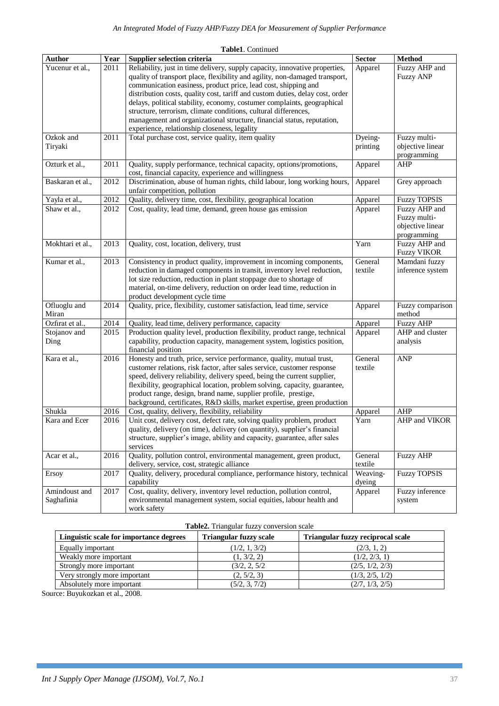|                             |      | Table1. Continued                                                                                                                                                                                                                                                                                                                                                                                                                                                                                                                                                                     |                     |                                                                  |
|-----------------------------|------|---------------------------------------------------------------------------------------------------------------------------------------------------------------------------------------------------------------------------------------------------------------------------------------------------------------------------------------------------------------------------------------------------------------------------------------------------------------------------------------------------------------------------------------------------------------------------------------|---------------------|------------------------------------------------------------------|
| <b>Author</b>               | Year | Supplier selection criteria                                                                                                                                                                                                                                                                                                                                                                                                                                                                                                                                                           | <b>Sector</b>       | <b>Method</b>                                                    |
| Yucenur et al.,             | 2011 | Reliability, just in time delivery, supply capacity, innovative properties,<br>quality of transport place, flexibility and agility, non-damaged transport,<br>communication easiness, product price, lead cost, shipping and<br>distribution costs, quality cost, tariff and custom duties, delay cost, order<br>delays, political stability, economy, costumer complaints, geographical<br>structure, terrorism, climate conditions, cultural differences,<br>management and organizational structure, financial status, reputation,<br>experience, relationship closeness, legality | Apparel             | Fuzzy AHP and<br><b>Fuzzy ANP</b>                                |
| Ozkok and<br>Tiryaki        | 2011 | Total purchase cost, service quality, item quality                                                                                                                                                                                                                                                                                                                                                                                                                                                                                                                                    | Dyeing-<br>printing | Fuzzy multi-<br>objective linear<br>programming                  |
| Ozturk et al.,              | 2011 | Quality, supply performance, technical capacity, options/promotions,<br>cost, financial capacity, experience and willingness                                                                                                                                                                                                                                                                                                                                                                                                                                                          | Apparel             | AHP                                                              |
| Baskaran et al.,            | 2012 | Discrimination, abuse of human rights, child labour, long working hours,<br>unfair competition, pollution                                                                                                                                                                                                                                                                                                                                                                                                                                                                             | Apparel             | Grey approach                                                    |
| Yayla et al.,               | 2012 | Quality, delivery time, cost, flexibility, geographical location                                                                                                                                                                                                                                                                                                                                                                                                                                                                                                                      | Apparel             | <b>Fuzzy TOPSIS</b>                                              |
| Shaw et al.,                | 2012 | Cost, quality, lead time, demand, green house gas emission                                                                                                                                                                                                                                                                                                                                                                                                                                                                                                                            | Apparel             | Fuzzy AHP and<br>Fuzzy multi-<br>objective linear<br>programming |
| Mokhtari et al.,            | 2013 | Quality, cost, location, delivery, trust                                                                                                                                                                                                                                                                                                                                                                                                                                                                                                                                              | Yarn                | Fuzzy AHP and<br><b>Fuzzy VIKOR</b>                              |
| Kumar et al.,               | 2013 | Consistency in product quality, improvement in incoming components,<br>reduction in damaged components in transit, inventory level reduction,<br>lot size reduction, reduction in plant stoppage due to shortage of<br>material, on-time delivery, reduction on order lead time, reduction in<br>product development cycle time                                                                                                                                                                                                                                                       | General<br>textile  | Mamdani fuzzy<br>inference system                                |
| Ofluoglu and<br>Miran       | 2014 | Quality, price, flexibility, customer satisfaction, lead time, service                                                                                                                                                                                                                                                                                                                                                                                                                                                                                                                | Apparel             | Fuzzy comparison<br>method                                       |
| Ozfirat et al.,             | 2014 | Quality, lead time, delivery performance, capacity                                                                                                                                                                                                                                                                                                                                                                                                                                                                                                                                    | Apparel             | <b>Fuzzy AHP</b>                                                 |
| Stojanov and<br>Ding        | 2015 | Production quality level, production flexibility, product range, technical<br>capability, production capacity, management system, logistics position,<br>financial position                                                                                                                                                                                                                                                                                                                                                                                                           | Apparel             | AHP and cluster<br>analysis                                      |
| Kara et al.,                | 2016 | Honesty and truth, price, service performance, quality, mutual trust,<br>customer relations, risk factor, after sales service, customer response<br>speed, delivery reliability, delivery speed, being the current supplier,<br>flexibility, geographical location, problem solving, capacity, guarantee,<br>product range, design, brand name, supplier profile, prestige,<br>background, certificates, R&D skills, market expertise, green production                                                                                                                               | General<br>textile  | <b>ANP</b>                                                       |
| Shukla                      | 2016 | Cost, quality, delivery, flexibility, reliability                                                                                                                                                                                                                                                                                                                                                                                                                                                                                                                                     | Apparel             | <b>AHP</b>                                                       |
| Kara and Ecer               | 2016 | Unit cost, delivery cost, defect rate, solving quality problem, product<br>quality, delivery (on time), delivery (on quantity), supplier's financial<br>structure, supplier's image, ability and capacity, guarantee, after sales<br>services                                                                                                                                                                                                                                                                                                                                         | Yarn                | AHP and VIKOR                                                    |
| Acar et al.,                | 2016 | Quality, pollution control, environmental management, green product,<br>delivery, service, cost, strategic alliance                                                                                                                                                                                                                                                                                                                                                                                                                                                                   | General<br>textile  | <b>Fuzzy AHP</b>                                                 |
| Ersoy                       | 2017 | Quality, delivery, procedural compliance, performance history, technical<br>capability                                                                                                                                                                                                                                                                                                                                                                                                                                                                                                | Weaving-<br>dyeing  | <b>Fuzzy TOPSIS</b>                                              |
| Amindoust and<br>Saghafinia | 2017 | Cost, quality, delivery, inventory level reduction, pollution control,<br>environmental management system, social equities, labour health and<br>work safety                                                                                                                                                                                                                                                                                                                                                                                                                          | Apparel             | Fuzzy inference<br>system                                        |

# **Table2.** Triangular fuzzy conversion scale

| Linguistic scale for importance degrees | <b>Triangular fuzzy scale</b> | Triangular fuzzy reciprocal scale |
|-----------------------------------------|-------------------------------|-----------------------------------|
| Equally important                       | (1/2, 1, 3/2)                 | (2/3, 1, 2)                       |
| Weakly more important                   | (1, 3/2, 2)                   | (1/2, 2/3, 1)                     |
| Strongly more important                 | (3/2, 2, 5/2)                 | (2/5, 1/2, 2/3)                   |
| Very strongly more important            | (2, 5/2, 3)                   | (1/3, 2/5, 1/2)                   |
| Absolutely more important               | (5/2, 3, 7/2)                 | (2/7, 1/3, 2/5)                   |

Source: Buyukozkan et al., 2008.